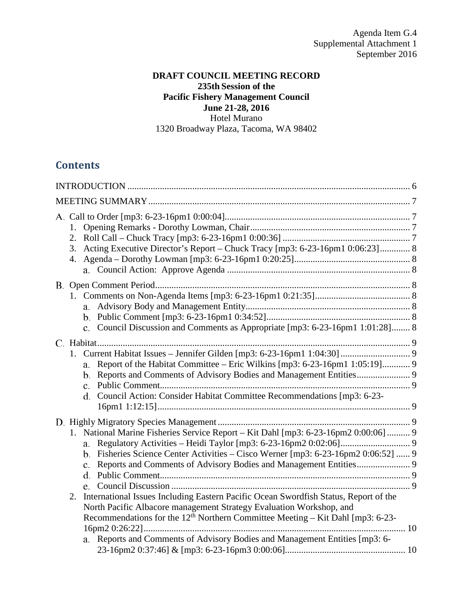### **DRAFT COUNCIL MEETING RECORD 235th Session of the Pacific Fishery Management Council June 21-28, 2016** Hotel Murano 1320 Broadway Plaza, Tacoma, WA 98402

# **Contents**

| 2.<br>Acting Executive Director's Report – Chuck Tracy [mp3: 6-23-16pm1 0:06:23] 8<br>3.                                                                                                                                                                                                                                                                                                                                                                                                                          |  |
|-------------------------------------------------------------------------------------------------------------------------------------------------------------------------------------------------------------------------------------------------------------------------------------------------------------------------------------------------------------------------------------------------------------------------------------------------------------------------------------------------------------------|--|
| c. Council Discussion and Comments as Appropriate [mp3: 6-23-16pm1 1:01:28] 8                                                                                                                                                                                                                                                                                                                                                                                                                                     |  |
| Report of the Habitat Committee – Eric Wilkins [mp3: 6-23-16pm1 1:05:19] 9<br>a.<br>d. Council Action: Consider Habitat Committee Recommendations [mp3: 6-23-                                                                                                                                                                                                                                                                                                                                                     |  |
| 1. National Marine Fisheries Service Report - Kit Dahl [mp3: 6-23-16pm2 0:00:06]  9<br>b. Fisheries Science Center Activities – Cisco Werner [mp3: 6-23-16pm2 0:06:52]  9<br>International Issues Including Eastern Pacific Ocean Swordfish Status, Report of the<br>2.<br>North Pacific Albacore management Strategy Evaluation Workshop, and<br>Recommendations for the $12th$ Northern Committee Meeting – Kit Dahl [mp3: 6-23-<br>a. Reports and Comments of Advisory Bodies and Management Entities [mp3: 6- |  |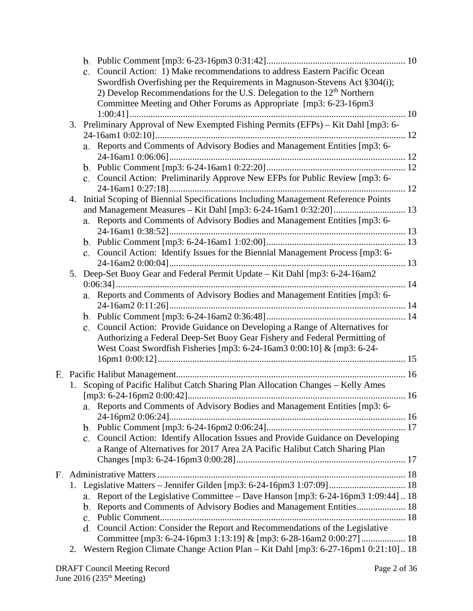|    |                | c. Council Action: 1) Make recommendations to address Eastern Pacific Ocean<br>Swordfish Overfishing per the Requirements in Magnuson-Stevens Act §304(i);<br>2) Develop Recommendations for the U.S. Delegation to the $12th$ Northern<br>Committee Meeting and Other Forums as Appropriate [mp3: 6-23-16pm3] |  |
|----|----------------|----------------------------------------------------------------------------------------------------------------------------------------------------------------------------------------------------------------------------------------------------------------------------------------------------------------|--|
|    |                | 3. Preliminary Approval of New Exempted Fishing Permits (EFPs) - Kit Dahl [mp3: 6-                                                                                                                                                                                                                             |  |
|    |                |                                                                                                                                                                                                                                                                                                                |  |
|    |                | a. Reports and Comments of Advisory Bodies and Management Entities [mp3: 6-                                                                                                                                                                                                                                    |  |
|    |                |                                                                                                                                                                                                                                                                                                                |  |
|    |                | c. Council Action: Preliminarily Approve New EFPs for Public Review [mp3: 6-                                                                                                                                                                                                                                   |  |
|    |                |                                                                                                                                                                                                                                                                                                                |  |
| 4. |                | Initial Scoping of Biennial Specifications Including Management Reference Points                                                                                                                                                                                                                               |  |
|    |                |                                                                                                                                                                                                                                                                                                                |  |
|    |                | a. Reports and Comments of Advisory Bodies and Management Entities [mp3: 6-                                                                                                                                                                                                                                    |  |
|    |                |                                                                                                                                                                                                                                                                                                                |  |
|    |                | c. Council Action: Identify Issues for the Biennial Management Process [mp3: 6-                                                                                                                                                                                                                                |  |
|    |                |                                                                                                                                                                                                                                                                                                                |  |
| 5. |                | Deep-Set Buoy Gear and Federal Permit Update - Kit Dahl [mp3: 6-24-16am2                                                                                                                                                                                                                                       |  |
|    |                |                                                                                                                                                                                                                                                                                                                |  |
|    |                | a. Reports and Comments of Advisory Bodies and Management Entities [mp3: 6-                                                                                                                                                                                                                                    |  |
|    |                |                                                                                                                                                                                                                                                                                                                |  |
|    |                | c. Council Action: Provide Guidance on Developing a Range of Alternatives for                                                                                                                                                                                                                                  |  |
|    |                | Authorizing a Federal Deep-Set Buoy Gear Fishery and Federal Permitting of<br>West Coast Swordfish Fisheries [mp3: 6-24-16am3 0:00:10] & [mp3: 6-24-                                                                                                                                                           |  |
|    |                |                                                                                                                                                                                                                                                                                                                |  |
|    |                |                                                                                                                                                                                                                                                                                                                |  |
|    |                | 1. Scoping of Pacific Halibut Catch Sharing Plan Allocation Changes - Kelly Ames                                                                                                                                                                                                                               |  |
|    |                | a. Reports and Comments of Advisory Bodies and Management Entities [mp3: 6-                                                                                                                                                                                                                                    |  |
|    |                |                                                                                                                                                                                                                                                                                                                |  |
|    |                |                                                                                                                                                                                                                                                                                                                |  |
|    |                | c. Council Action: Identify Allocation Issues and Provide Guidance on Developing                                                                                                                                                                                                                               |  |
|    |                | a Range of Alternatives for 2017 Area 2A Pacific Halibut Catch Sharing Plan                                                                                                                                                                                                                                    |  |
|    |                |                                                                                                                                                                                                                                                                                                                |  |
|    |                |                                                                                                                                                                                                                                                                                                                |  |
|    |                | 1. Legislative Matters - Jennifer Gilden [mp3: 6-24-16pm3 1:07:09] 18                                                                                                                                                                                                                                          |  |
|    | a.             | Report of the Legislative Committee - Dave Hanson [mp3: 6-24-16pm3 1:09:44] 18                                                                                                                                                                                                                                 |  |
|    | b.             | Reports and Comments of Advisory Bodies and Management Entities 18                                                                                                                                                                                                                                             |  |
|    | $\mathbf{c}$ . |                                                                                                                                                                                                                                                                                                                |  |
|    |                | d. Council Action: Consider the Report and Recommendations of the Legislative                                                                                                                                                                                                                                  |  |
|    |                | Committee [mp3: 6-24-16pm3 1:13:19] & [mp3: 6-28-16am2 0:00:27]  18                                                                                                                                                                                                                                            |  |
|    |                | 2. Western Region Climate Change Action Plan - Kit Dahl [mp3: 6-27-16pm1 0:21:10] 18                                                                                                                                                                                                                           |  |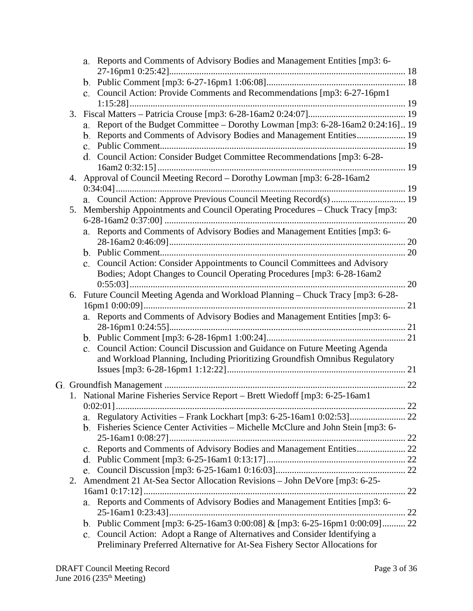|    |                | a. Reports and Comments of Advisory Bodies and Management Entities [mp3: 6-    |    |
|----|----------------|--------------------------------------------------------------------------------|----|
|    |                |                                                                                |    |
|    |                |                                                                                |    |
|    |                | c. Council Action: Provide Comments and Recommendations [mp3: 6-27-16pm1       |    |
|    |                |                                                                                |    |
| 3. |                |                                                                                |    |
|    |                | a. Report of the Budget Committee – Dorothy Lowman [mp3: 6-28-16am2 0:24:16]19 |    |
|    |                | b. Reports and Comments of Advisory Bodies and Management Entities 19          |    |
|    |                |                                                                                |    |
|    |                | d. Council Action: Consider Budget Committee Recommendations [mp3: 6-28-       |    |
|    |                |                                                                                |    |
| 4. |                | Approval of Council Meeting Record - Dorothy Lowman [mp3: 6-28-16am2           |    |
|    |                |                                                                                |    |
|    |                |                                                                                |    |
| 5. |                | Membership Appointments and Council Operating Procedures - Chuck Tracy [mp3:   |    |
|    |                | a. Reports and Comments of Advisory Bodies and Management Entities [mp3: 6-    |    |
|    |                |                                                                                |    |
|    |                |                                                                                |    |
|    |                | c. Council Action: Consider Appointments to Council Committees and Advisory    |    |
|    |                | Bodies; Adopt Changes to Council Operating Procedures [mp3: 6-28-16am2]        |    |
|    |                |                                                                                |    |
| 6. |                | Future Council Meeting Agenda and Workload Planning - Chuck Tracy [mp3: 6-28-  |    |
|    |                |                                                                                |    |
|    |                | a. Reports and Comments of Advisory Bodies and Management Entities [mp3: 6-    |    |
|    |                |                                                                                |    |
|    |                |                                                                                |    |
|    | $\mathbf{c}$ . | Council Action: Council Discussion and Guidance on Future Meeting Agenda       |    |
|    |                | and Workload Planning, Including Prioritizing Groundfish Omnibus Regulatory    |    |
|    |                |                                                                                |    |
|    |                |                                                                                |    |
|    |                |                                                                                | 22 |
|    |                | 1. National Marine Fisheries Service Report - Brett Wiedoff [mp3: 6-25-16am1   |    |
|    |                |                                                                                |    |
|    | a.             |                                                                                |    |
|    | b.             | Fisheries Science Center Activities – Michelle McClure and John Stein [mp3: 6- |    |
|    |                |                                                                                |    |
|    |                |                                                                                |    |
|    |                |                                                                                |    |
|    |                |                                                                                |    |
| 2. |                | Amendment 21 At-Sea Sector Allocation Revisions - John DeVore [mp3: 6-25-      |    |
|    |                |                                                                                |    |
|    | a.             | Reports and Comments of Advisory Bodies and Management Entities [mp3: 6-       |    |
|    |                |                                                                                |    |
|    |                | b. Public Comment [mp3: 6-25-16am3 0:00:08] & [mp3: 6-25-16pm1 0:00:09] 22     |    |
|    | $\mathbf{c}$ . | Council Action: Adopt a Range of Alternatives and Consider Identifying a       |    |
|    |                | Preliminary Preferred Alternative for At-Sea Fishery Sector Allocations for    |    |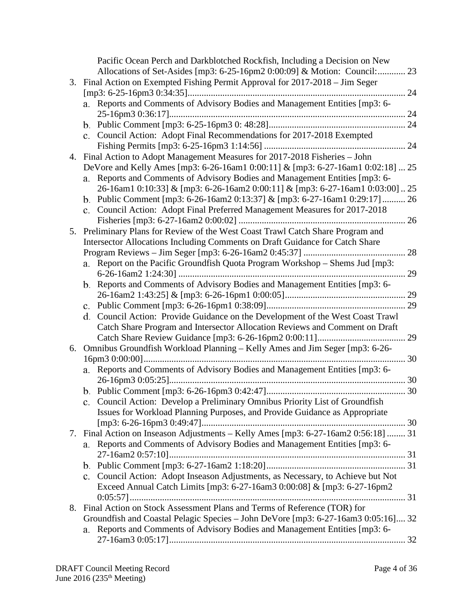|    | Pacific Ocean Perch and Darkblotched Rockfish, Including a Decision on New         |
|----|------------------------------------------------------------------------------------|
|    | Allocations of Set-Asides [mp3: 6-25-16pm2 0:00:09] & Motion: Council:<br>23       |
|    | 3. Final Action on Exempted Fishing Permit Approval for 2017-2018 - Jim Seger      |
|    | 24                                                                                 |
|    | a. Reports and Comments of Advisory Bodies and Management Entities [mp3: 6-        |
|    |                                                                                    |
|    |                                                                                    |
|    | c. Council Action: Adopt Final Recommendations for 2017-2018 Exempted              |
|    | 24                                                                                 |
|    | 4. Final Action to Adopt Management Measures for 2017-2018 Fisheries - John        |
|    | DeVore and Kelly Ames [mp3: 6-26-16am1 0:00:11] & [mp3: 6-27-16am1 0:02:18]  25    |
|    | Reports and Comments of Advisory Bodies and Management Entities [mp3: 6-<br>a.     |
|    | 26-16am1 0:10:33] & [mp3: 6-26-16am2 0:00:11] & [mp3: 6-27-16am1 0:03:00]  25      |
|    | b. Public Comment [mp3: 6-26-16am2 0:13:37] & [mp3: 6-27-16am1 0:29:17]  26        |
|    | c. Council Action: Adopt Final Preferred Management Measures for 2017-2018         |
|    |                                                                                    |
|    | 5. Preliminary Plans for Review of the West Coast Trawl Catch Share Program and    |
|    | Intersector Allocations Including Comments on Draft Guidance for Catch Share       |
|    | 28                                                                                 |
|    | a. Report on the Pacific Groundfish Quota Program Workshop – Shems Jud [mp3:       |
|    | 29                                                                                 |
|    | b. Reports and Comments of Advisory Bodies and Management Entities [mp3: 6-        |
|    |                                                                                    |
|    | 29                                                                                 |
|    | d. Council Action: Provide Guidance on the Development of the West Coast Trawl     |
|    | Catch Share Program and Intersector Allocation Reviews and Comment on Draft        |
|    | 29                                                                                 |
| 6. | Omnibus Groundfish Workload Planning - Kelly Ames and Jim Seger [mp3: 6-26-        |
|    | 30                                                                                 |
|    | a. Reports and Comments of Advisory Bodies and Management Entities [mp3: 6-        |
|    |                                                                                    |
|    |                                                                                    |
|    | Council Action: Develop a Preliminary Omnibus Priority List of Groundfish<br>c.    |
|    | Issues for Workload Planning Purposes, and Provide Guidance as Appropriate         |
|    |                                                                                    |
|    | 7. Final Action on Inseason Adjustments - Kelly Ames [mp3: 6-27-16am2 0:56:18]  31 |
|    | a. Reports and Comments of Advisory Bodies and Management Entities [mp3: 6-        |
|    |                                                                                    |
|    |                                                                                    |
|    | c. Council Action: Adopt Inseason Adjustments, as Necessary, to Achieve but Not    |
|    | Exceed Annual Catch Limits [mp3: 6-27-16am3 0:00:08] & [mp3: 6-27-16pm2            |
|    |                                                                                    |
|    | 8. Final Action on Stock Assessment Plans and Terms of Reference (TOR) for         |
|    | Groundfish and Coastal Pelagic Species - John DeVore [mp3: 6-27-16am3 0:05:16] 32  |
|    | Reports and Comments of Advisory Bodies and Management Entities [mp3: 6-<br>a.     |
|    |                                                                                    |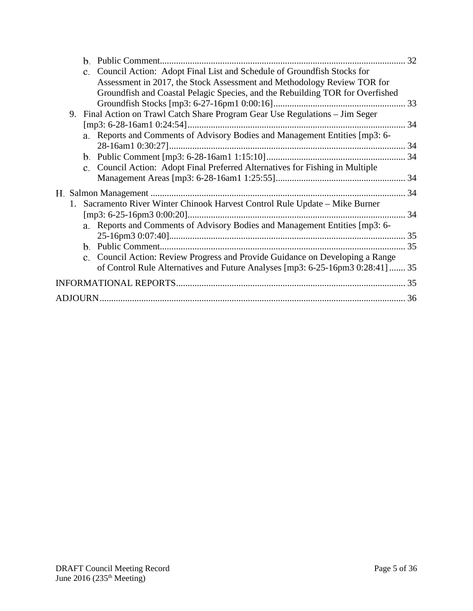| b.                                                                                    |     |
|---------------------------------------------------------------------------------------|-----|
| Council Action: Adopt Final List and Schedule of Groundfish Stocks for<br>$c_{\cdot}$ |     |
| Assessment in 2017, the Stock Assessment and Methodology Review TOR for               |     |
| Groundfish and Coastal Pelagic Species, and the Rebuilding TOR for Overfished         |     |
|                                                                                       |     |
| Final Action on Trawl Catch Share Program Gear Use Regulations - Jim Seger<br>9.      |     |
|                                                                                       |     |
| a. Reports and Comments of Advisory Bodies and Management Entities [mp3: 6-           |     |
|                                                                                       |     |
|                                                                                       |     |
| c. Council Action: Adopt Final Preferred Alternatives for Fishing in Multiple         |     |
|                                                                                       |     |
|                                                                                       |     |
| 1. Sacramento River Winter Chinook Harvest Control Rule Update – Mike Burner          |     |
|                                                                                       | -34 |
| a. Reports and Comments of Advisory Bodies and Management Entities [mp3: 6-           |     |
|                                                                                       |     |
|                                                                                       |     |
| c. Council Action: Review Progress and Provide Guidance on Developing a Range         |     |
| of Control Rule Alternatives and Future Analyses [mp3: 6-25-16pm3 0:28:41]  35        |     |
|                                                                                       | 35  |
|                                                                                       |     |
|                                                                                       |     |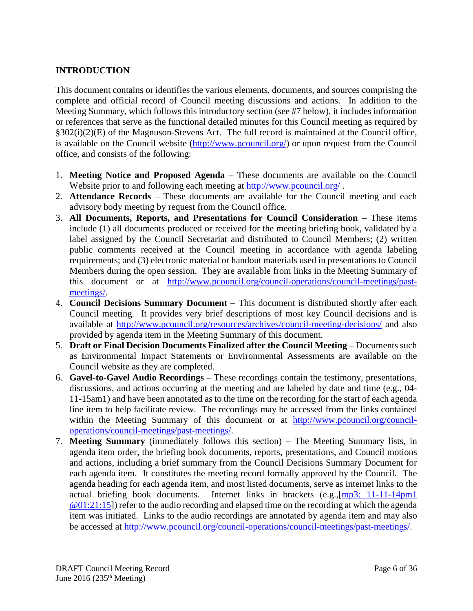# <span id="page-5-0"></span>**INTRODUCTION**

This document contains or identifies the various elements, documents, and sources comprising the complete and official record of Council meeting discussions and actions. In addition to the Meeting Summary, which follows this introductory section (see #7 below), it includes information or references that serve as the functional detailed minutes for this Council meeting as required by §302(i)(2)(E) of the Magnuson-Stevens Act. The full record is maintained at the Council office, is available on the Council website [\(http://www.pcouncil.org/\)](http://www.pcouncil.org/) or upon request from the Council office, and consists of the following:

- 1. **Meeting Notice and Proposed Agenda** These documents are available on the Council Website prior to and following each meeting at<http://www.pcouncil.org/>.
- 2. **Attendance Records** These documents are available for the Council meeting and each advisory body meeting by request from the Council office.
- 3. **All Documents, Reports, and Presentations for Council Consideration** These items include (1) all documents produced or received for the meeting briefing book, validated by a label assigned by the Council Secretariat and distributed to Council Members; (2) written public comments received at the Council meeting in accordance with agenda labeling requirements; and (3) electronic material or handout materials used in presentations to Council Members during the open session. They are available from links in the Meeting Summary of this document or at [http://www.pcouncil.org/council-operations/council-meetings/past](http://www.pcouncil.org/council-operations/council-meetings/past-meetings/)[meetings/.](http://www.pcouncil.org/council-operations/council-meetings/past-meetings/)
- 4. **Council Decisions Summary Document –** This document is distributed shortly after each Council meeting. It provides very brief descriptions of most key Council decisions and is available at<http://www.pcouncil.org/resources/archives/council-meeting-decisions/> and also provided by agenda item in the Meeting Summary of this document.
- 5. **Draft or Final Decision Documents Finalized after the Council Meeting** Documents such as Environmental Impact Statements or Environmental Assessments are available on the Council website as they are completed.
- 6. **Gavel-to-Gavel Audio Recordings** These recordings contain the testimony, presentations, discussions, and actions occurring at the meeting and are labeled by date and time (e.g., 04- 11-15am1) and have been annotated as to the time on the recording for the start of each agenda line item to help facilitate review. The recordings may be accessed from the links contained within the Meeting Summary of this document or at [http://www.pcouncil.org/council](http://www.pcouncil.org/council-operations/council-meetings/past-meetings/)[operations/council-meetings/past-meetings/.](http://www.pcouncil.org/council-operations/council-meetings/past-meetings/)
- 7. **Meeting Summary** (immediately follows this section) The Meeting Summary lists, in agenda item order, the briefing book documents, reports, presentations, and Council motions and actions, including a brief summary from the Council Decisions Summary Document for each agenda item. It constitutes the meeting record formally approved by the Council. The agenda heading for each agenda item, and most listed documents, serve as internet links to the actual briefing book documents. Internet links in brackets (e.g.,[\[mp3: 11-11-14pm1](ftp://ftp.pcouncil.org/pub/R1411_November_2014_Recordings/11-14-14pm1Copy.mp3) @01:21:15]) refer to the audio recording and elapsed time on the recording at which the agenda item was initiated. Links to the audio recordings are annotated by agenda item and may also be accessed at [http://www.pcouncil.org/council-operations/council-meetings/past-meetings/.](http://www.pcouncil.org/council-operations/council-meetings/past-meetings/)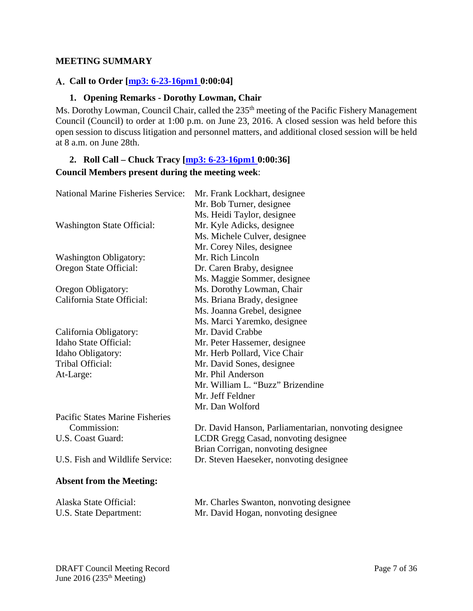#### <span id="page-6-0"></span>**MEETING SUMMARY**

#### <span id="page-6-1"></span>**Call to Order [\[mp3: 6-23-16pm1](ftp://ftp.pcouncil.org/pub/R1606_June_2016_Recordings/6-23-16pm1Copy.mp3) 0:00:04]**

#### **1. Opening Remarks - Dorothy Lowman, Chair**

<span id="page-6-2"></span>Ms. Dorothy Lowman, Council Chair, called the 235<sup>th</sup> meeting of the Pacific Fishery Management Council (Council) to order at 1:00 p.m. on June 23, 2016. A closed session was held before this open session to discuss litigation and personnel matters, and additional closed session will be held at 8 a.m. on June 28th.

# <span id="page-6-3"></span>**2. Roll Call – Chuck Tracy [\[mp3: 6-23-16pm1 0](ftp://ftp.pcouncil.org/pub/R1606_June_2016_Recordings/6-23-16pm1Copy.mp3):00:36] Council Members present during the meeting week**:

| <b>National Marine Fisheries Service:</b> | Mr. Frank Lockhart, designee                          |
|-------------------------------------------|-------------------------------------------------------|
|                                           | Mr. Bob Turner, designee                              |
|                                           | Ms. Heidi Taylor, designee                            |
| <b>Washington State Official:</b>         | Mr. Kyle Adicks, designee                             |
|                                           | Ms. Michele Culver, designee                          |
|                                           | Mr. Corey Niles, designee                             |
| <b>Washington Obligatory:</b>             | Mr. Rich Lincoln                                      |
| Oregon State Official:                    | Dr. Caren Braby, designee                             |
|                                           | Ms. Maggie Sommer, designee                           |
| Oregon Obligatory:                        | Ms. Dorothy Lowman, Chair                             |
| California State Official:                | Ms. Briana Brady, designee                            |
|                                           | Ms. Joanna Grebel, designee                           |
|                                           | Ms. Marci Yaremko, designee                           |
| California Obligatory:                    | Mr. David Crabbe                                      |
| <b>Idaho State Official:</b>              | Mr. Peter Hassemer, designee                          |
| Idaho Obligatory:                         | Mr. Herb Pollard, Vice Chair                          |
| Tribal Official:                          | Mr. David Sones, designee                             |
| At-Large:                                 | Mr. Phil Anderson                                     |
|                                           | Mr. William L. "Buzz" Brizendine                      |
|                                           | Mr. Jeff Feldner                                      |
|                                           | Mr. Dan Wolford                                       |
| <b>Pacific States Marine Fisheries</b>    |                                                       |
| Commission:                               | Dr. David Hanson, Parliamentarian, nonvoting designee |
| U.S. Coast Guard:                         | LCDR Gregg Casad, nonvoting designee                  |
|                                           | Brian Corrigan, nonvoting designee                    |
| U.S. Fish and Wildlife Service:           | Dr. Steven Haeseker, nonvoting designee               |
|                                           |                                                       |
| <b>Absent from the Meeting:</b>           |                                                       |
| Alaska State Official:                    | Mr. Charles Swanton, nonvoting designee               |
| U.S. State Department:                    | Mr. David Hogan, nonvoting designee                   |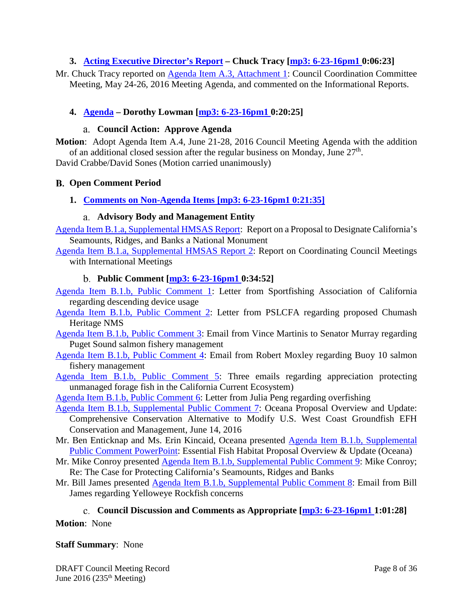#### <span id="page-7-0"></span>**3. [Acting Executive Director's Report](http://www.pcouncil.org/wp-content/uploads/2016/06/A3__SitSum_EDsRpt_JUN2016BB.pdf) – Chuck Tracy [\[mp3: 6-23-16pm1 0](ftp://ftp.pcouncil.org/pub/R1606_June_2016_Recordings/6-23-16pm1Copy.mp3):06:23]**

Mr. Chuck Tracy reported on [Agenda Item A.3, Attachment 1:](http://www.pcouncil.org/wp-content/uploads/2016/06/A3_Att1_ccc_agenda_may2016_JUN2016BB.pdf) Council Coordination Committee Meeting, May 24-26, 2016 Meeting Agenda, and commented on the Informational Reports.

#### <span id="page-7-1"></span>**4. [Agenda](http://www.pcouncil.org/wp-content/uploads/2016/06/A4__Agenda_JUN2016BB.pdf) – Dorothy Lowman [\[mp3: 6-23-16pm1 0](ftp://ftp.pcouncil.org/pub/R1606_June_2016_Recordings/6-23-16pm1Copy.mp3):20:25]**

#### **Council Action: Approve Agenda**

<span id="page-7-2"></span>**Motion**: Adopt Agenda Item A.4, June 21-28, 2016 Council Meeting Agenda with the addition of an additional closed session after the regular business on Monday, June  $27<sup>th</sup>$ .

<span id="page-7-3"></span>David Crabbe/David Sones (Motion carried unanimously)

#### **Open Comment Period**

<span id="page-7-4"></span>**1. [Comments on Non-Agenda Items](http://www.pcouncil.org/wp-content/uploads/2016/06/B1__SitSum_JUN2016BB.pdf) [\[mp3: 6-23-16pm1 0](ftp://ftp.pcouncil.org/pub/R1606_June_2016_Recordings/6-23-16pm1Copy.mp3):21:35]**

#### **Advisory Body and Management Entity**

<span id="page-7-5"></span>[Agenda Item B.1.a, Supplemental HMSAS Report:](http://www.pcouncil.org/wp-content/uploads/2016/06/B1a_Sup_HMSAS_Rpt_JUN2016BB.pdf) Report on a Proposal to Designate California's Seamounts, Ridges, and Banks a National Monument

[Agenda Item B.1.a, Supplemental HMSAS Report](http://www.pcouncil.org/wp-content/uploads/2016/06/B1a_Sup_HMSAS_Rpt2_JUN2016BB.pdf) 2: Report on Coordinating Council Meetings with International Meetings

#### **Public Comment [\[mp3: 6-23-16pm1 0](ftp://ftp.pcouncil.org/pub/R1606_June_2016_Recordings/6-23-16pm1Copy.mp3):34:52]**

- <span id="page-7-6"></span>[Agenda Item B.1.b, Public Comment 1:](http://www.pcouncil.org/wp-content/uploads/2016/06/B1b_PC1_SAC_DescendDevice_JUN2016BB.pdf) Letter from Sportfishing Association of California regarding descending device usage
- [Agenda Item B.1.b, Public Comment 2:](http://www.pcouncil.org/wp-content/uploads/2016/06/B1b_PC2_PSLCFA_ChumashHeritageNMS_JUN2016BB.pdf) Letter from PSLCFA regarding proposed Chumash Heritage NMS
- [Agenda Item B.1.b, Public Comment 3:](http://www.pcouncil.org/wp-content/uploads/2016/06/B1b_PC3_PugetSoundSalmon_JUN2016BB.pdf) Email from Vince Martinis to Senator Murray regarding Puget Sound salmon fishery management
- [Agenda Item B.1.b, Public Comment 4:](http://www.pcouncil.org/wp-content/uploads/2016/06/B1b_PC4_SalmonBuoy10_JUN2016BB.pdf) Email from Robert Moxley regarding Buoy 10 salmon fishery management
- [Agenda Item B.1.b, Public Comment 5:](http://www.pcouncil.org/wp-content/uploads/2016/06/B1b_PC5_ThankYouForProtectingForageFish_JUN2016BB.pdf) Three emails regarding appreciation protecting unmanaged forage fish in the California Current Ecosystem)
- Agenda Item [B.1.b, Public Comment 6:](http://www.pcouncil.org/wp-content/uploads/2016/06/B1b_PC6_Peng_Gear_Overfishing_JUN2016BB.pdf) Letter from Julia Peng regarding overfishing
- [Agenda Item B.1.b, Supplemental Public Comment 7:](http://www.pcouncil.org/wp-content/uploads/2016/06/Sup_B1b_PC7_OceanaEFH_JUN2016BB.pdf) Oceana Proposal Overview and Update: Comprehensive Conservation Alternative to Modify U.S. West Coast Groundfish EFH Conservation and Management, June 14, 2016
- Mr. Ben Enticknap and Ms. Erin Kincaid, Oceana presented [Agenda Item B.1.b, Supplemental](http://www.pcouncil.org/wp-content/uploads/2016/06/B1b_Sup_PC_PPT_Oceana_JUN2016BB.pdf)  [Public Comment PowerPoint:](http://www.pcouncil.org/wp-content/uploads/2016/06/B1b_Sup_PC_PPT_Oceana_JUN2016BB.pdf) Essential Fish Habitat Proposal Overview & Update (Oceana)
- Mr. Mike Conroy presented [Agenda Item B.1.b, Supplemental Public Comment 9:](http://www.pcouncil.org/wp-content/uploads/2016/06/B1b_Sup_PC9_MikeConroy_JUN2016BB.pdf) Mike Conroy; Re: The Case for Protecting California's Seamounts, Ridges and Banks
- Mr. Bill James presented [Agenda Item B.1.b, Supplemental Public Comment 8:](http://www.pcouncil.org/wp-content/uploads/2016/06/Sup_B1b_PC8_BillJames_JUN2016BB.pdf) Email from Bill James regarding Yelloweye Rockfish concerns

# **Council Discussion and Comments as Appropriate [\[mp3: 6-23-16pm1 1](ftp://ftp.pcouncil.org/pub/R1606_June_2016_Recordings/6-23-16pm1Copy.mp3):01:28]**

#### <span id="page-7-7"></span>**Motion**: None

#### **Staff Summary**: None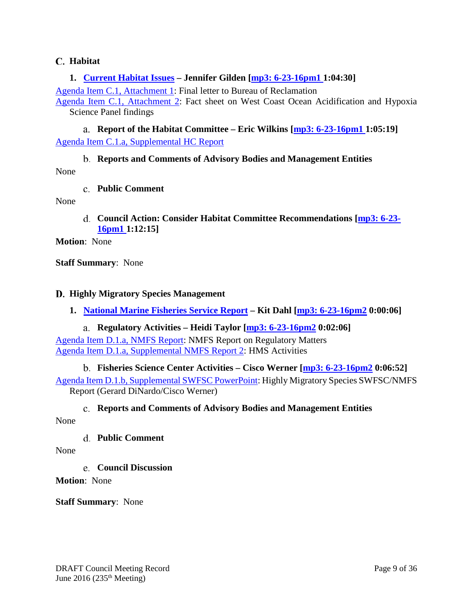#### <span id="page-8-0"></span>**Habitat**

#### <span id="page-8-1"></span>**1. [Current Habitat Issues](http://www.pcouncil.org/wp-content/uploads/2016/06/C1__SitSum_HabitatIssues_JUN2016BB.pdf) – Jennifer Gilden [\[mp3: 6-23-16pm1 1](ftp://ftp.pcouncil.org/pub/R1606_June_2016_Recordings/6-23-16pm1Copy.mp3):04:30]**

[Agenda Item C.1, Attachment 1:](http://www.pcouncil.org/wp-content/uploads/2016/06/C1_Att1_Final_Ltr_BOR_JUN2016BB.pdf) Final letter to Bureau of Reclamation

[Agenda Item C.1, Attachment 2:](http://www.pcouncil.org/wp-content/uploads/2016/06/C1_Att2_OceanAcidification_JUN2016BB.pdf) Fact sheet on West Coast Ocean Acidification and Hypoxia Science Panel findings

<span id="page-8-2"></span>**Report of the Habitat Committee – Eric Wilkins [\[mp3: 6-23-16pm1 1](ftp://ftp.pcouncil.org/pub/R1606_June_2016_Recordings/6-23-16pm1Copy.mp3):05:19]** [Agenda Item C.1.a, Supplemental HC Report](http://www.pcouncil.org/wp-content/uploads/2016/06/C1a_Sup_HC_Rpt_JUN2016BB.pdf)

# **Reports and Comments of Advisory Bodies and Management Entities**

<span id="page-8-4"></span><span id="page-8-3"></span>None

#### **Public Comment**

<span id="page-8-5"></span>None

**Council Action: Consider Habitat Committee Recommendations [\[mp3: 6-23-](ftp://ftp.pcouncil.org/pub/R1606_June_2016_Recordings/6-23-16pm1Copy.mp3) [16pm1](ftp://ftp.pcouncil.org/pub/R1606_June_2016_Recordings/6-23-16pm1Copy.mp3) 1:12:15]**

**Motion**: None

**Staff Summary**: None

#### <span id="page-8-6"></span>**Highly Migratory Species Management**

<span id="page-8-7"></span>**1. [National Marine Fisheries Service Report](http://www.pcouncil.org/wp-content/uploads/2016/06/D1__SitSum_HMS_NMFS_Rpt_JUN2016BB.pdf) – Kit Dahl [\[mp3: 6-23-16pm2](ftp://ftp.pcouncil.org/pub/R1606_June_2016_Recordings/6-23-16pm2Copy.mp3) 0:00:06]**

#### **Regulatory Activities – Heidi Taylor [\[mp3: 6-23-16pm2](ftp://ftp.pcouncil.org/pub/R1606_June_2016_Recordings/6-23-16pm2Copy.mp3) 0:02:06]**

<span id="page-8-8"></span>Agenda Item [D.1.a, NMFS Report:](http://www.pcouncil.org/wp-content/uploads/2016/06/D1a_NMFS_Rpt_JUN2016BB.pdf) NMFS Report on Regulatory Matters [Agenda Item D.1.a, Supplemental NMFS Report 2:](http://www.pcouncil.org/wp-content/uploads/2016/06/D1a_Sup_NMFS_Rpt2_JUN2016BB.pdf) HMS Activities

**Fisheries Science Center Activities – Cisco Werner [\[mp3: 6-23-16pm2](ftp://ftp.pcouncil.org/pub/R1606_June_2016_Recordings/6-23-16pm2Copy.mp3) 0:06:52]**

<span id="page-8-9"></span>[Agenda Item D.1.b, Supplemental SWFSC PowerPoint:](http://www.pcouncil.org/wp-content/uploads/2016/06/D1b_Sup_SWFSC_HMS_Werner_DiNardo_JUN2016BB.pdf) Highly Migratory Species SWFSC/NMFS Report (Gerard DiNardo/Cisco Werner)

#### **Reports and Comments of Advisory Bodies and Management Entities**

<span id="page-8-11"></span><span id="page-8-10"></span>None

#### **Public Comment**

<span id="page-8-12"></span>None

**Council Discussion**

**Motion**: None

**Staff Summary**: None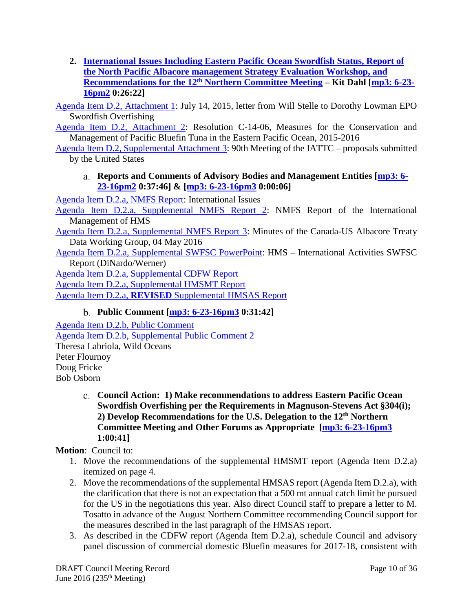<span id="page-9-0"></span>**2. [International Issues Including Eastern Pacific Ocean Swordfish Status, Report of](http://www.pcouncil.org/wp-content/uploads/2016/06/D2__SitSum_International_JUN2016BB.pdf)  [the North Pacific Albacore management Strategy Evaluation Workshop, and](http://www.pcouncil.org/wp-content/uploads/2016/06/D2__SitSum_International_JUN2016BB.pdf)  [Recommendations for the 12th](http://www.pcouncil.org/wp-content/uploads/2016/06/D2__SitSum_International_JUN2016BB.pdf) Northern Committee Meeting – Kit Dahl [\[mp3: 6-23-](ftp://ftp.pcouncil.org/pub/R1606_June_2016_Recordings/6-23-16pm2Copy.mp3) [16pm2](ftp://ftp.pcouncil.org/pub/R1606_June_2016_Recordings/6-23-16pm2Copy.mp3) 0:26:22]**

[Agenda Item D.2, Attachment 1:](http://www.pcouncil.org/wp-content/uploads/2016/06/D2_Att1_EPOSwordfishLtr_Stelle_to_Lowman_JUN2016BB.pdf) July 14, 2015, letter from Will Stelle to Dorothy Lowman EPO Swordfish Overfishing

[Agenda Item D.2, Attachment 2:](http://www.pcouncil.org/wp-content/uploads/2016/06/D2_Att2_C-14-06_ConservationOfBluefin_JUN2016BB.pdf) Resolution C-14-06, Measures for the Conservation and Management of Pacific Bluefin Tuna in the Eastern Pacific Ocean, 2015-2016

<span id="page-9-1"></span>[Agenda Item D.2, Supplemental Attachment 3:](http://www.pcouncil.org/wp-content/uploads/2016/06/D2_Sup_Att3_90thMtgof_IATTC_JUN2016BB.pdf) 90th Meeting of the IATTC – proposals submitted by the United States

### **Reports and Comments of Advisory Bodies and Management Entities [\[mp3: 6-](ftp://ftp.pcouncil.org/pub/R1606_June_2016_Recordings/6-23-16pm2Copy.mp3) [23-16pm2](ftp://ftp.pcouncil.org/pub/R1606_June_2016_Recordings/6-23-16pm2Copy.mp3) 0:37:46] & [\[mp3: 6-23-16pm3](ftp://ftp.pcouncil.org/pub/R1606_June_2016_Recordings/6-23-16pm3Copy.mp3) 0:00:06]**

[Agenda Item D.2.a, NMFS Report:](http://www.pcouncil.org/wp-content/uploads/2016/06/D2a_NMFS_Rpt_Intl_Issues_JUN2016BB.pdf) International Issues

[Agenda Item D.2.a, Supplemental NMFS Report 2:](http://www.pcouncil.org/wp-content/uploads/2016/06/D2a_Sup_NMFS_Rpt2_Intl_Issues.pdf) NMFS Report of the International Management of HMS

[Agenda Item D.2.a, Supplemental NMFS Report 3:](http://www.pcouncil.org/wp-content/uploads/2016/06/D2a_Sup_NMFS_Rpt3_ALB_Treaty_Minutes_DataTables_JUN2016BB.pdf) Minutes of the Canada-US Albacore Treaty Data Working Group, 04 May 2016

[Agenda Item D.2.a, Supplemental SWFSC PowerPoint:](http://www.pcouncil.org/wp-content/uploads/2016/06/D2a_Sup_SWFSC_PPT_HMS_Intl_Werner__DiNardo_JUN2016BB.pdf) HMS – International Activities SWFSC Report (DiNardo/Werner)

[Agenda Item D.2.a, Supplemental CDFW Report](http://www.pcouncil.org/wp-content/uploads/2016/06/D2a_Sup_CDFW_Rpt_Intl_JUN2016BB.pdf)

[Agenda Item D.2.a, Supplemental HMSMT Report](http://www.pcouncil.org/wp-content/uploads/2016/06/D2a_Sup_HMSMT_Rpt_Intl_JUN2016BB.pdf)

<span id="page-9-2"></span>Agenda Item D.2.a, **REVISED** [Supplemental HMSAS Report](http://www.pcouncil.org/wp-content/uploads/2016/06/D2a_Sup_REVISED_HMSAS_Rpt_Intl_JUN2016BB.pdf)

# **Public Comment [\[mp3: 6-23-16pm3](ftp://ftp.pcouncil.org/pub/R1606_June_2016_Recordings/6-23-16pm3Copy.mp3) 0:31:42]**

[Agenda Item D.2.b, Public Comment](http://www.pcouncil.org/wp-content/uploads/2016/06/D2b_PubCom_JUN2016BB.pdf) [Agenda Item D.2.b, Supplemental Public Comment 2](http://www.pcouncil.org/wp-content/uploads/2016/06/D2b_Sup_PubCom2_JUN2016BB.pdf) Theresa Labriola, Wild Oceans Peter Flournoy Doug Fricke Bob Osborn

> <span id="page-9-3"></span>**Council Action: 1) Make recommendations to address Eastern Pacific Ocean Swordfish Overfishing per the Requirements in Magnuson-Stevens Act §304(i); 2) Develop Recommendations for the U.S. Delegation to the 12th Northern Committee Meeting and Other Forums as Appropriate [\[mp3: 6-23-16pm3](ftp://ftp.pcouncil.org/pub/R1606_June_2016_Recordings/6-23-16pm3Copy.mp3) 1:00:41]**

**Motion**: Council to:

- 1. Move the recommendations of the supplemental HMSMT report (Agenda Item D.2.a) itemized on page 4.
- 2. Move the recommendations of the supplemental HMSAS report (Agenda Item D.2.a), with the clarification that there is not an expectation that a 500 mt annual catch limit be pursued for the US in the negotiations this year. Also direct Council staff to prepare a letter to M. Tosatto in advance of the August Northern Committee recommending Council support for the measures described in the last paragraph of the HMSAS report.
- 3. As described in the CDFW report (Agenda Item D.2.a), schedule Council and advisory panel discussion of commercial domestic Bluefin measures for 2017-18, consistent with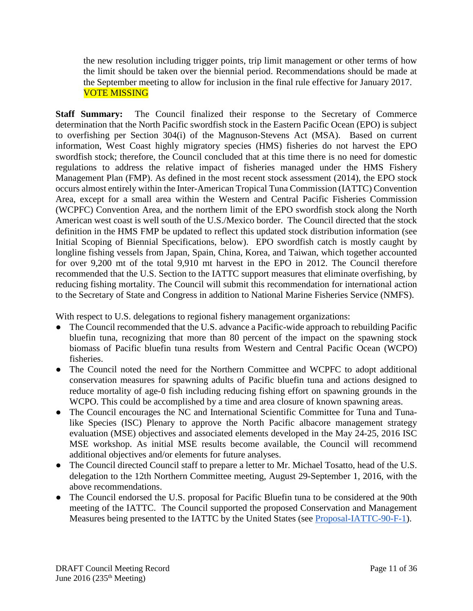the new resolution including trigger points, trip limit management or other terms of how the limit should be taken over the biennial period. Recommendations should be made at the September meeting to allow for inclusion in the final rule effective for January 2017. VOTE MISSING

**Staff Summary:** The Council finalized their response to the Secretary of Commerce determination that the North Pacific swordfish stock in the Eastern Pacific Ocean (EPO) is subject to overfishing per Section 304(i) of the Magnuson-Stevens Act (MSA). Based on current information, West Coast highly migratory species (HMS) fisheries do not harvest the EPO swordfish stock; therefore, the Council concluded that at this time there is no need for domestic regulations to address the relative impact of fisheries managed under the HMS Fishery Management Plan (FMP). As defined in the most recent stock assessment (2014), the EPO stock occurs almost entirely within the Inter-American Tropical Tuna Commission (IATTC) Convention Area, except for a small area within the Western and Central Pacific Fisheries Commission (WCPFC) Convention Area, and the northern limit of the EPO swordfish stock along the North American west coast is well south of the U.S./Mexico border. The Council directed that the stock definition in the HMS FMP be updated to reflect this updated stock distribution information (see Initial Scoping of Biennial Specifications, below). EPO swordfish catch is mostly caught by longline fishing vessels from Japan, Spain, China, Korea, and Taiwan, which together accounted for over 9,200 mt of the total 9,910 mt harvest in the EPO in 2012. The Council therefore recommended that the U.S. Section to the IATTC support measures that eliminate overfishing, by reducing fishing mortality. The Council will submit this recommendation for international action to the Secretary of State and Congress in addition to National Marine Fisheries Service (NMFS).

With respect to U.S. delegations to regional fishery management organizations:

- The Council recommended that the U.S. advance a Pacific-wide approach to rebuilding Pacific bluefin tuna, recognizing that more than 80 percent of the impact on the spawning stock biomass of Pacific bluefin tuna results from Western and Central Pacific Ocean (WCPO) fisheries.
- The Council noted the need for the Northern Committee and WCPFC to adopt additional conservation measures for spawning adults of Pacific bluefin tuna and actions designed to reduce mortality of age-0 fish including reducing fishing effort on spawning grounds in the WCPO. This could be accomplished by a time and area closure of known spawning areas.
- The Council encourages the NC and International Scientific Committee for Tuna and Tunalike Species (ISC) Plenary to approve the North Pacific albacore management strategy evaluation (MSE) objectives and associated elements developed in the May 24-25, 2016 ISC MSE workshop. As initial MSE results become available, the Council will recommend additional objectives and/or elements for future analyses.
- The Council directed Council staff to prepare a letter to Mr. Michael Tosatto, head of the U.S. delegation to the 12th Northern Committee meeting, August 29-September 1, 2016, with the above recommendations.
- The Council endorsed the U.S. proposal for Pacific Bluefin tuna to be considered at the 90th meeting of the IATTC. The Council supported the proposed Conservation and Management Measures being presented to the IATTC by the United States (see [Proposal-IATTC-90-F-1\)](http://www.iattc.org/Meetings/Meetings2016/June/Proposals/IATTC-90-PROP-F-1-USA-Pacific-bluefin-tuna.pdf).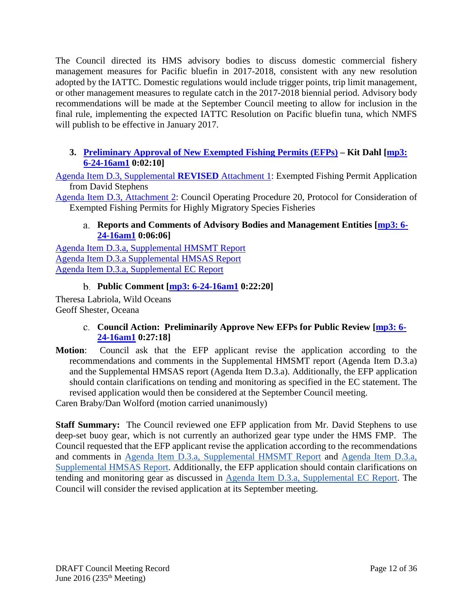The Council directed its HMS advisory bodies to discuss domestic commercial fishery management measures for Pacific bluefin in 2017-2018, consistent with any new resolution adopted by the IATTC. Domestic regulations would include trigger points, trip limit management, or other management measures to regulate catch in the 2017-2018 biennial period. Advisory body recommendations will be made at the September Council meeting to allow for inclusion in the final rule, implementing the expected IATTC Resolution on Pacific bluefin tuna, which NMFS will publish to be effective in January 2017.

### <span id="page-11-0"></span>**3. [Preliminary Approval of New Exempted Fishing Permits \(EFPs\)](http://www.pcouncil.org/wp-content/uploads/2016/06/D3__SitSum_HMS_EFPs_JUN2016BB.pdf) – Kit Dahl [\[mp3:](ftp://ftp.pcouncil.org/pub/R1606_June_2016_Recordings/6-24-16am1Copy.mp3)  [6-24-16am1](ftp://ftp.pcouncil.org/pub/R1606_June_2016_Recordings/6-24-16am1Copy.mp3) 0:02:10]**

[Agenda Item D.3, Supplemental](http://www.pcouncil.org/wp-content/uploads/2016/06/D3_Sup_REVISED_Att1_Stephens_EFP_Application_JUN2016BB.pdf) **REVISED** Attachment 1: Exempted Fishing Permit Application from David Stephens

<span id="page-11-1"></span>[Agenda Item D.3, Attachment 2:](http://www.pcouncil.org/wp-content/uploads/2016/06/D3_Att2_COP20_JUN2016BB.pdf) Council Operating Procedure 20, Protocol for Consideration of Exempted Fishing Permits for Highly Migratory Species Fisheries

### **Reports and Comments of Advisory Bodies and Management Entities [\[mp3: 6-](ftp://ftp.pcouncil.org/pub/R1606_June_2016_Recordings/6-24-16am1Copy.mp3) [24-16am1](ftp://ftp.pcouncil.org/pub/R1606_June_2016_Recordings/6-24-16am1Copy.mp3) 0:06:06]**

[Agenda Item D.3.a, Supplemental HMSMT Report](http://www.pcouncil.org/wp-content/uploads/2016/06/D3a_Sup_HMSMT_Rpt_EFPs_JUN2016BB.pdf) [Agenda Item D.3.a Supplemental HMSAS Report](http://www.pcouncil.org/wp-content/uploads/2016/06/D3a_Sup_HMSAS_Rpt_EFPs_JUN2016BB.pdf) [Agenda Item D.3.a, Supplemental EC Report](http://www.pcouncil.org/wp-content/uploads/2016/06/D3a_Sup_EC_Rpt_JUN2016BB.pdf)

# **Public Comment [\[mp3: 6-24-16am1](ftp://ftp.pcouncil.org/pub/R1606_June_2016_Recordings/6-24-16am1Copy.mp3) 0:22:20]**

<span id="page-11-3"></span><span id="page-11-2"></span>Theresa Labriola, Wild Oceans Geoff Shester, Oceana

# **Council Action: Preliminarily Approve New EFPs for Public Review [\[mp3: 6-](ftp://ftp.pcouncil.org/pub/R1606_June_2016_Recordings/6-24-16am1Copy.mp3) [24-16am1](ftp://ftp.pcouncil.org/pub/R1606_June_2016_Recordings/6-24-16am1Copy.mp3) 0:27:18]**

**Motion**: Council ask that the EFP applicant revise the application according to the recommendations and comments in the Supplemental HMSMT report (Agenda Item D.3.a) and the Supplemental HMSAS report (Agenda Item D.3.a). Additionally, the EFP application should contain clarifications on tending and monitoring as specified in the EC statement. The revised application would then be considered at the September Council meeting.

Caren Braby/Dan Wolford (motion carried unanimously)

**Staff Summary:** The Council reviewed one EFP application from Mr. David Stephens to use deep-set buoy gear, which is not currently an authorized gear type under the HMS FMP. The Council requested that the EFP applicant revise the application according to the recommendations and comments in [Agenda Item D.3.a, Supplemental HMSMT Report](http://www.pcouncil.org/wp-content/uploads/2016/06/D3a_Sup_HMSMT_Rpt_EFPs_JUN2016BB.pdf) and [Agenda Item D.3.a,](http://www.pcouncil.org/wp-content/uploads/2016/06/D3a_Sup_HMSAS_Rpt_EFPs_JUN2016BB.pdf)  [Supplemental HMSAS Report.](http://www.pcouncil.org/wp-content/uploads/2016/06/D3a_Sup_HMSAS_Rpt_EFPs_JUN2016BB.pdf) Additionally, the EFP application should contain clarifications on tending and monitoring gear as discussed in [Agenda Item D.3.a, Supplemental EC Report.](http://www.pcouncil.org/wp-content/uploads/2016/06/D3a_Sup_EC_Rpt_JUN2016BB.pdf) The Council will consider the revised application at its September meeting.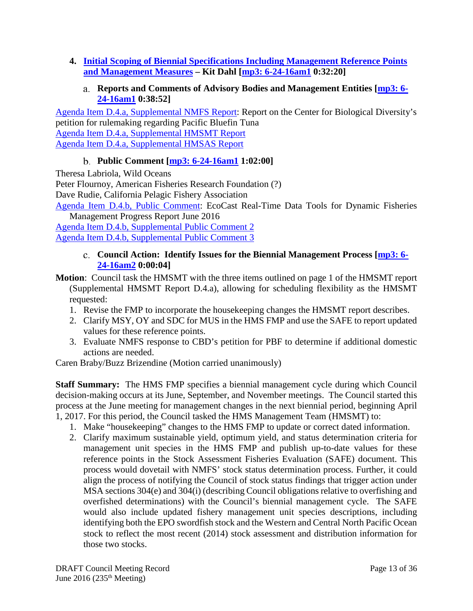<span id="page-12-1"></span><span id="page-12-0"></span>**4. [Initial Scoping of Biennial Specifications Including Management Reference Points](http://www.pcouncil.org/wp-content/uploads/2016/06/D4__SitSum_HMS_BiSpex_JUN2016BB.pdf)  [and Management Measures](http://www.pcouncil.org/wp-content/uploads/2016/06/D4__SitSum_HMS_BiSpex_JUN2016BB.pdf) – Kit Dahl [\[mp3: 6-24-16am1](ftp://ftp.pcouncil.org/pub/R1606_June_2016_Recordings/6-24-16am1Copy.mp3) 0:32:20]**

#### **Reports and Comments of Advisory Bodies and Management Entities [\[mp3: 6-](ftp://ftp.pcouncil.org/pub/R1606_June_2016_Recordings/6-24-16am1Copy.mp3) [24-16am1](ftp://ftp.pcouncil.org/pub/R1606_June_2016_Recordings/6-24-16am1Copy.mp3) 0:38:52]**

[Agenda Item D.4.a, Supplemental NMFS Report:](http://www.pcouncil.org/wp-content/uploads/2016/06/D4a_Sup_NMFS_Rpt_Biennial_Specs_JUN2016BB.pdf) Report on the Center for Biological Diversity's petition for rulemaking regarding Pacific Bluefin Tuna [Agenda Item D.4.a, Supplemental HMSMT Report](http://www.pcouncil.org/wp-content/uploads/2016/06/D4a_Sup_HMSMT_Rpt_JUN2016BB.pdf) [Agenda Item D.4.a, Supplemental HMSAS Report](http://www.pcouncil.org/wp-content/uploads/2016/06/D4a_Sup_HMSAS_Rpt_JUN2016BB.pdf)

# **Public Comment [\[mp3: 6-24-16am1](ftp://ftp.pcouncil.org/pub/R1606_June_2016_Recordings/6-24-16am1Copy.mp3) 1:02:00]**

<span id="page-12-2"></span>Theresa Labriola, Wild Oceans

Peter Flournoy, American Fisheries Research Foundation (?)

Dave Rudie, California Pelagic Fishery Association

[Agenda Item D.4.b, Public Comment:](http://www.pcouncil.org/wp-content/uploads/2016/06/D4b_PubCom_JUN2016BB.pdf) EcoCast Real-Time Data Tools for Dynamic Fisheries Management Progress Report June 2016

<span id="page-12-3"></span>[Agenda Item D.4.b, Supplemental Public Comment 2](http://www.pcouncil.org/wp-content/uploads/2016/06/D4b_Sup_PubCom2_JUN2016BB.pdf) [Agenda Item D.4.b, Supplemental Public Comment 3](http://www.pcouncil.org/wp-content/uploads/2016/06/D4b_Sup_PubCom3_JUN2016BB.pdf)

### **Council Action: Identify Issues for the Biennial Management Process [\[mp3: 6-](ftp://ftp.pcouncil.org/pub/R1606_June_2016_Recordings/6-24-16am2Copy.mp3) [24-16am2](ftp://ftp.pcouncil.org/pub/R1606_June_2016_Recordings/6-24-16am2Copy.mp3) 0:00:04]**

- **Motion**: Council task the HMSMT with the three items outlined on page 1 of the HMSMT report (Supplemental HMSMT Report D.4.a), allowing for scheduling flexibility as the HMSMT requested:
	- 1. Revise the FMP to incorporate the housekeeping changes the HMSMT report describes.
	- 2. Clarify MSY, OY and SDC for MUS in the HMS FMP and use the SAFE to report updated values for these reference points.
	- 3. Evaluate NMFS response to CBD's petition for PBF to determine if additional domestic actions are needed.

Caren Braby/Buzz Brizendine (Motion carried unanimously)

**Staff Summary:** The HMS FMP specifies a biennial management cycle during which Council decision-making occurs at its June, September, and November meetings. The Council started this process at the June meeting for management changes in the next biennial period, beginning April 1, 2017. For this period, the Council tasked the HMS Management Team (HMSMT) to:

- 1. Make "housekeeping" changes to the HMS FMP to update or correct dated information.
- 2. Clarify maximum sustainable yield, optimum yield, and status determination criteria for management unit species in the HMS FMP and publish up-to-date values for these reference points in the Stock Assessment Fisheries Evaluation (SAFE) document. This process would dovetail with NMFS' stock status determination process. Further, it could align the process of notifying the Council of stock status findings that trigger action under MSA sections 304(e) and 304(i) (describing Council obligations relative to overfishing and overfished determinations) with the Council's biennial management cycle. The SAFE would also include updated fishery management unit species descriptions, including identifying both the EPO swordfish stock and the Western and Central North Pacific Ocean stock to reflect the most recent (2014) stock assessment and distribution information for those two stocks.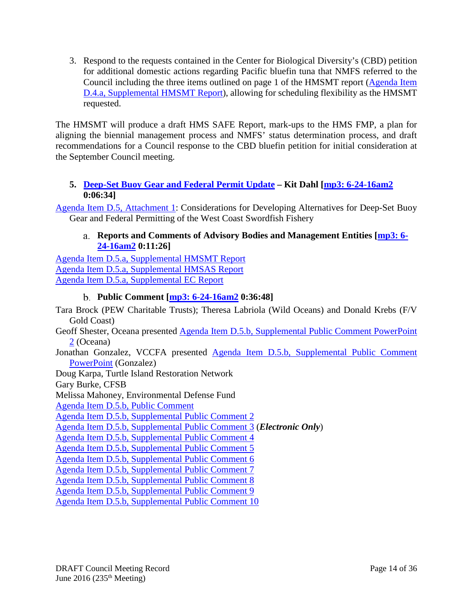3. Respond to the requests contained in the Center for Biological Diversity's (CBD) petition for additional domestic actions regarding Pacific bluefin tuna that NMFS referred to the Council including the three items outlined on page 1 of the HMSMT report [\(Agenda Item](http://www.pcouncil.org/wp-content/uploads/2016/06/D4a_Sup_HMSMT_Rpt_JUN2016BB.pdf)  [D.4.a, Supplemental HMSMT Report\)](http://www.pcouncil.org/wp-content/uploads/2016/06/D4a_Sup_HMSMT_Rpt_JUN2016BB.pdf), allowing for scheduling flexibility as the HMSMT requested.

The HMSMT will produce a draft HMS SAFE Report, mark-ups to the HMS FMP, a plan for aligning the biennial management process and NMFS' status determination process, and draft recommendations for a Council response to the CBD bluefin petition for initial consideration at the September Council meeting.

### <span id="page-13-0"></span>**5. Deep-Set Buoy [Gear and Federal Permit Update](http://www.pcouncil.org/wp-content/uploads/2016/06/D5__SitSum_DSBG_CheckIn_JUN2016BB.pdf) – Kit Dahl [\[mp3: 6-24-16am2](ftp://ftp.pcouncil.org/pub/R1606_June_2016_Recordings/6-24-16am2Copy.mp3) 0:06:34]**

<span id="page-13-1"></span>[Agenda Item D.5, Attachment 1:](http://www.pcouncil.org/wp-content/uploads/2016/06/D5_Att1_Considerations_DSBG_JUN2016BB.pdf) Considerations for Developing Alternatives for Deep-Set Buoy Gear and Federal Permitting of the West Coast Swordfish Fishery

### **Reports and Comments of Advisory Bodies and Management Entities [\[mp3: 6-](ftp://ftp.pcouncil.org/pub/R1606_June_2016_Recordings/6-24-16am2Copy.mp3) [24-16am2](ftp://ftp.pcouncil.org/pub/R1606_June_2016_Recordings/6-24-16am2Copy.mp3) 0:11:26]**

[Agenda Item D.5.a, Supplemental HMSMT Report](http://www.pcouncil.org/wp-content/uploads/2016/06/D5a_Sup_HMSMT_Rpt_DSBG_JUN2016BB.pdf) [Agenda Item D.5.a, Supplemental HMSAS Report](http://www.pcouncil.org/wp-content/uploads/2016/06/D5a_Sup_HMSAS_Rpt_DSBG_JUN2016BB.pdf) [Agenda Item D.5.a, Supplemental EC Report](http://www.pcouncil.org/wp-content/uploads/2016/06/D5a_Sup_EC_Rpt_DSBG_JUN2016BB.pdf)

# **Public Comment [\[mp3: 6-24-16am2](ftp://ftp.pcouncil.org/pub/R1606_June_2016_Recordings/6-24-16am2Copy.mp3) 0:36:48]**

<span id="page-13-2"></span>Tara Brock (PEW Charitable Trusts); Theresa Labriola (Wild Oceans) and Donald Krebs (F/V Gold Coast) Geoff Shester, Oceana presented [Agenda Item D.5.b, Supplemental Public Comment PowerPoint](http://www.pcouncil.org/wp-content/uploads/2016/06/D5b_Sup_PC_PPT2_Oceana_JUN2016BB.pdf) 

[2](http://www.pcouncil.org/wp-content/uploads/2016/06/D5b_Sup_PC_PPT2_Oceana_JUN2016BB.pdf) (Oceana)

Jonathan Gonzalez, VCCFA presented [Agenda Item D.5.b, Supplemental Public Comment](http://www.pcouncil.org/wp-content/uploads/2016/06/D5b_Sup_PC_PPT1_Gonzalez_JUN2016BB.pdf)  [PowerPoint](http://www.pcouncil.org/wp-content/uploads/2016/06/D5b_Sup_PC_PPT1_Gonzalez_JUN2016BB.pdf) (Gonzalez)

Doug Karpa, Turtle Island Restoration Network

Gary Burke, CFSB

Melissa Mahoney, Environmental Defense Fund

[Agenda Item D.5.b, Public Comment](http://www.pcouncil.org/wp-content/uploads/2016/06/D5b_PubCom_JUN2016BB.pdf)

[Agenda Item D.5.b, Supplemental Public Comment 2](http://www.pcouncil.org/wp-content/uploads/2016/06/D5b_Sup_PubCom2_JUN2016BB.pdf)

[Agenda Item D.5.b, Supplemental Public Comment 3](http://www.pcouncil.org/wp-content/uploads/2016/06/D5b_Sup_PubCom3_ELECTRIC_ONLY_JUN2016BB.pdf) (*Electronic Only*)

[Agenda Item D.5.b, Supplemental Public Comment 4](http://www.pcouncil.org/wp-content/uploads/2016/06/D5b_Sup_PubCom4_JUN2016BB.pdf)

[Agenda Item D.5.b, Supplemental Public Comment 5](http://www.pcouncil.org/wp-content/uploads/2016/06/D5b_Sup_PubCom5_JUN2016BB.pdf)

[Agenda Item D.5.b, Supplemental Public Comment 6](http://www.pcouncil.org/wp-content/uploads/2016/06/D5b_Sup_PubCom6_JUN2016BB.pdf)

[Agenda Item D.5.b, Supplemental Public Comment 7](http://www.pcouncil.org/wp-content/uploads/2016/06/D5b_Sup_PubCom7_JUN2016BB.pdf)

[Agenda Item D.5.b, Supplemental Public Comment 8](http://www.pcouncil.org/wp-content/uploads/2016/06/D5b_Sup_PubCom8_JUN2016BB.pdf)

[Agenda Item D.5.b, Supplemental Public Comment 9](http://www.pcouncil.org/wp-content/uploads/2016/06/D5b_Sup_PubCom9_JUN2016BB.pdf)

[Agenda Item D.5.b, Supplemental Public Comment 10](http://www.pcouncil.org/wp-content/uploads/2016/06/D5b_Sup_PubCom10_JUN2016BB.pdf)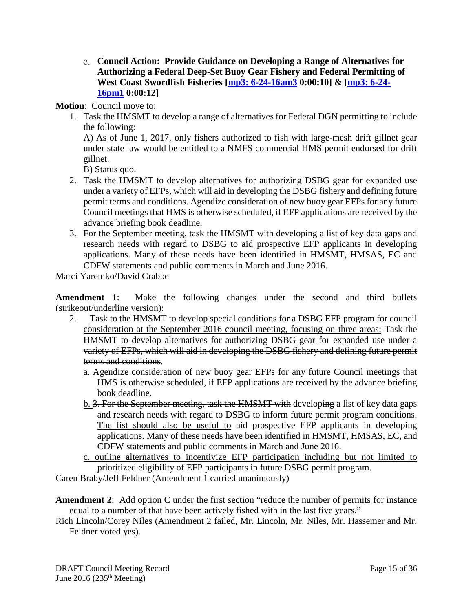<span id="page-14-0"></span>**Council Action: Provide Guidance on Developing a Range of Alternatives for Authorizing a Federal Deep-Set Buoy Gear Fishery and Federal Permitting of West Coast Swordfish Fisheries [\[mp3: 6-24-16am3](ftp://ftp.pcouncil.org/pub/R1606_June_2016_Recordings/6-24-16am3Copy.mp3) 0:00:10] & [\[mp3: 6-24-](ftp://ftp.pcouncil.org/pub/R1606_June_2016_Recordings/6-24-16pm1Copy.mp3) [16pm1](ftp://ftp.pcouncil.org/pub/R1606_June_2016_Recordings/6-24-16pm1Copy.mp3) 0:00:12]**

# **Motion**: Council move to:

1. Task the HMSMT to develop a range of alternatives for Federal DGN permitting to include the following:

A) As of June 1, 2017, only fishers authorized to fish with large-mesh drift gillnet gear under state law would be entitled to a NMFS commercial HMS permit endorsed for drift gillnet.

B) Status quo.

- 2. Task the HMSMT to develop alternatives for authorizing DSBG gear for expanded use under a variety of EFPs, which will aid in developing the DSBG fishery and defining future permit terms and conditions. Agendize consideration of new buoy gear EFPs for any future Council meetings that HMS is otherwise scheduled, if EFP applications are received by the advance briefing book deadline.
- 3. For the September meeting, task the HMSMT with developing a list of key data gaps and research needs with regard to DSBG to aid prospective EFP applicants in developing applications. Many of these needs have been identified in HMSMT, HMSAS, EC and CDFW statements and public comments in March and June 2016.

Marci Yaremko/David Crabbe

**Amendment 1**: Make the following changes under the second and third bullets (strikeout/underline version):

- 2. Task to the HMSMT to develop special conditions for a DSBG EFP program for council consideration at the September 2016 council meeting, focusing on three areas: Task the HMSMT to develop alternatives for authorizing DSBG gear for expanded use under a variety of EFPs, which will aid in developing the DSBG fishery and defining future permit terms and conditions.
	- a. Agendize consideration of new buoy gear EFPs for any future Council meetings that HMS is otherwise scheduled, if EFP applications are received by the advance briefing book deadline.
	- b. 3. For the September meeting, task the HMSMT with developing a list of key data gaps and research needs with regard to DSBG to inform future permit program conditions. The list should also be useful to aid prospective EFP applicants in developing applications. Many of these needs have been identified in HMSMT, HMSAS, EC, and CDFW statements and public comments in March and June 2016.
	- c. outline alternatives to incentivize EFP participation including but not limited to prioritized eligibility of EFP participants in future DSBG permit program.

Caren Braby/Jeff Feldner (Amendment 1 carried unanimously)

**Amendment 2**: Add option C under the first section "reduce the number of permits for instance equal to a number of that have been actively fished with in the last five years."

Rich Lincoln/Corey Niles (Amendment 2 failed, Mr. Lincoln, Mr. Niles, Mr. Hassemer and Mr. Feldner voted yes).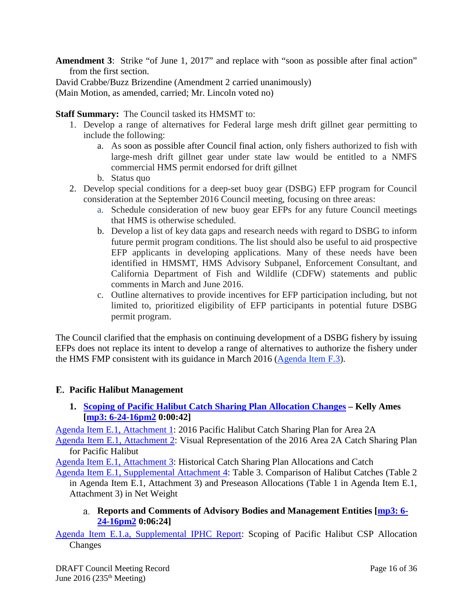**Amendment 3**: Strike "of June 1, 2017" and replace with "soon as possible after final action" from the first section.

David Crabbe/Buzz Brizendine (Amendment 2 carried unanimously)

(Main Motion, as amended, carried; Mr. Lincoln voted no)

**Staff Summary:** The Council tasked its HMSMT to:

- 1. Develop a range of alternatives for Federal large mesh drift gillnet gear permitting to include the following:
	- a. As soon as possible after Council final action, only fishers authorized to fish with large-mesh drift gillnet gear under state law would be entitled to a NMFS commercial HMS permit endorsed for drift gillnet
	- b. Status quo
- 2. Develop special conditions for a deep-set buoy gear (DSBG) EFP program for Council consideration at the September 2016 Council meeting, focusing on three areas:
	- a. Schedule consideration of new buoy gear EFPs for any future Council meetings that HMS is otherwise scheduled.
	- b. Develop a list of key data gaps and research needs with regard to DSBG to inform future permit program conditions. The list should also be useful to aid prospective EFP applicants in developing applications. Many of these needs have been identified in HMSMT, HMS Advisory Subpanel, Enforcement Consultant, and California Department of Fish and Wildlife (CDFW) statements and public comments in March and June 2016.
	- c. Outline alternatives to provide incentives for EFP participation including, but not limited to, prioritized eligibility of EFP participants in potential future DSBG permit program.

The Council clarified that the emphasis on continuing development of a DSBG fishery by issuing EFPs does not replace its intent to develop a range of alternatives to authorize the fishery under the HMS FMP consistent with its guidance in March 2016 [\(Agenda Item F.3\)](http://www.pcouncil.org/wp-content/uploads/2016/02/F3__SitSum_DSBG_Scoping_MAR2016BB.pdf).

### <span id="page-15-0"></span>**Pacific Halibut Management**

<span id="page-15-1"></span>**1. [Scoping of Pacific Halibut Catch Sharing Plan Allocation Changes](http://www.pcouncil.org/wp-content/uploads/2016/06/E1__SitSum_Halibut_CSP_JUN2016BB.pdf) – Kelly Ames [\[mp3: 6-24-16pm2](ftp://ftp.pcouncil.org/pub/R1606_June_2016_Recordings/6-24-16pm2Copy.mp3) 0:00:42]**

[Agenda Item E.1, Attachment 1:](http://www.pcouncil.org/wp-content/uploads/2016/06/E1_Att1_2016_CSP_JUN2016BB.pdf) 2016 Pacific Halibut Catch Sharing Plan for Area 2A

[Agenda Item E.1, Attachment 2:](http://www.pcouncil.org/wp-content/uploads/2016/06/E1_Att2_CSP_Visual_JUN2016BB.pdf) Visual Representation of the 2016 Area 2A Catch Sharing Plan for Pacific Halibut

[Agenda Item E.1, Attachment 3:](http://www.pcouncil.org/wp-content/uploads/2016/06/E1_Att3_Historical2004-2015_Catch_Allocation_JUN2016BB.pdf) Historical Catch Sharing Plan Allocations and Catch

[Agenda Item E.1, Supplemental Attachment 4:](http://www.pcouncil.org/wp-content/uploads/2016/06/E1_Sup_Att4_Comparison_JUN2016BB.pdf) Table 3. Comparison of Halibut Catches (Table 2 in Agenda Item E.1, Attachment 3) and Preseason Allocations (Table 1 in Agenda Item E.1, Attachment 3) in Net Weight

**Reports and Comments of Advisory Bodies and Management Entities [\[mp3: 6-](ftp://ftp.pcouncil.org/pub/R1606_June_2016_Recordings/6-24-16pm2Copy.mp3) [24-16pm2](ftp://ftp.pcouncil.org/pub/R1606_June_2016_Recordings/6-24-16pm2Copy.mp3) 0:06:24]**

<span id="page-15-2"></span>[Agenda Item E.1.a, Supplemental IPHC Report:](http://www.pcouncil.org/wp-content/uploads/2016/06/E1a_Sup_IPHC_Rpt_JUN2016BB.pdf) Scoping of Pacific Halibut CSP Allocation Changes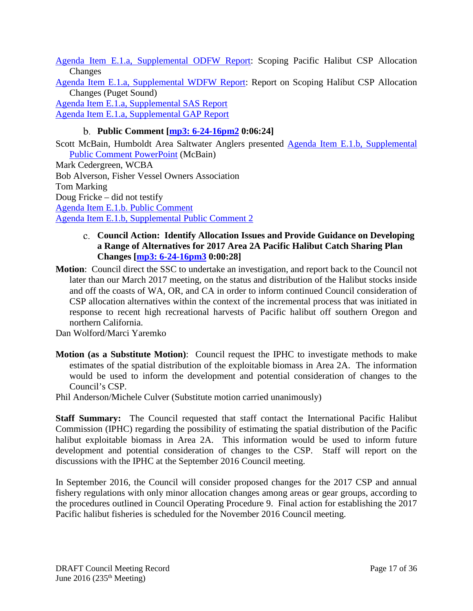[Agenda Item E.1.a, Supplemental ODFW Report:](http://www.pcouncil.org/wp-content/uploads/2016/06/E1a_Sup_ODFW_Rpt_JUN2016BB.pdf) Scoping Pacific Halibut CSP Allocation **Changes** 

[Agenda Item E.1.a, Supplemental WDFW Report:](http://www.pcouncil.org/wp-content/uploads/2016/06/E1a_Sup_WDFW_Rpt_JUN2016BB.pdf) Report on Scoping Halibut CSP Allocation Changes (Puget Sound)

[Agenda Item E.1.a, Supplemental SAS Report](http://www.pcouncil.org/wp-content/uploads/2016/06/E1a_Sup_SAS_Rpt_Phalibut_JUN2016BB.pdf)

<span id="page-16-0"></span>[Agenda Item E.1.a, Supplemental GAP Report](http://www.pcouncil.org/wp-content/uploads/2016/06/E1a_Sup_GAP_Rpt_Phalibut_JUN2016BB.pdf)

### **Public Comment [\[mp3: 6-24-16pm2](ftp://ftp.pcouncil.org/pub/R1606_June_2016_Recordings/6-24-16pm2Copy.mp3) 0:06:24]**

Scott McBain, Humboldt Area Saltwater Anglers presented Agenda Item E.1.b, Supplemental [Public Comment PowerPoint](http://www.pcouncil.org/wp-content/uploads/2016/06/E1b_Sup_PubCom_PPT_McBain_JUN2016BB.pdf) (McBain)

Mark Cedergreen, WCBA Bob Alverson, Fisher Vessel Owners Association Tom Marking Doug Fricke – did not testify [Agenda Item E.1.b. Public Comment](http://www.pcouncil.org/wp-content/uploads/2016/06/E1b_PubCom_JUN2016BB.pdf) [Agenda Item E.1.b, Supplemental Public Comment 2](http://www.pcouncil.org/wp-content/uploads/2016/06/E1b_Sup_PubCom2_JUN2016BB.pdf)

#### <span id="page-16-1"></span>**Council Action: Identify Allocation Issues and Provide Guidance on Developing a Range of Alternatives for 2017 Area 2A Pacific Halibut Catch Sharing Plan Changes [\[mp3: 6-24-16pm3](ftp://ftp.pcouncil.org/pub/R1606_June_2016_Recordings/6-24-16pm3Copy.mp3) 0:00:28]**

**Motion**: Council direct the SSC to undertake an investigation, and report back to the Council not later than our March 2017 meeting, on the status and distribution of the Halibut stocks inside and off the coasts of WA, OR, and CA in order to inform continued Council consideration of CSP allocation alternatives within the context of the incremental process that was initiated in response to recent high recreational harvests of Pacific halibut off southern Oregon and northern California.

Dan Wolford/Marci Yaremko

**Motion (as a Substitute Motion)**: Council request the IPHC to investigate methods to make estimates of the spatial distribution of the exploitable biomass in Area 2A. The information would be used to inform the development and potential consideration of changes to the Council's CSP.

Phil Anderson/Michele Culver (Substitute motion carried unanimously)

**Staff Summary:** The Council requested that staff contact the International Pacific Halibut Commission (IPHC) regarding the possibility of estimating the spatial distribution of the Pacific halibut exploitable biomass in Area 2A. This information would be used to inform future development and potential consideration of changes to the CSP. Staff will report on the discussions with the IPHC at the September 2016 Council meeting.

In September 2016, the Council will consider proposed changes for the 2017 CSP and annual fishery regulations with only minor allocation changes among areas or gear groups, according to the procedures outlined in Council Operating Procedure 9. Final action for establishing the 2017 Pacific halibut fisheries is scheduled for the November 2016 Council meeting.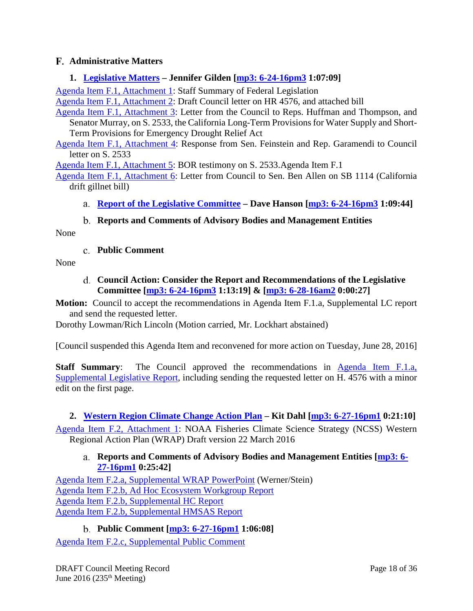### <span id="page-17-0"></span>**Administrative Matters**

#### <span id="page-17-1"></span>**1. [Legislative Matters](http://www.pcouncil.org/wp-content/uploads/2016/06/F1__SitSum_Leg_Matters_JUN2016BB.pdf) – Jennifer Gilden [\[mp3: 6-24-16pm3](ftp://ftp.pcouncil.org/pub/R1606_June_2016_Recordings/6-24-16pm3Copy.mp3) 1:07:09]**

[Agenda Item F.1, Attachment 1:](http://www.pcouncil.org/wp-content/uploads/2016/06/F1_Att1_Staff_Summary_of_Federal_Legislation_JUN2016BB.pdf) Staff Summary of Federal Legislation

[Agenda Item F.1, Attachment 2:](http://www.pcouncil.org/wp-content/uploads/2016/06/F1_Att2_HR4576_draft_letter_JUN2016BB.pdf) Draft Council letter on HR 4576, and attached bill

[Agenda Item F.1, Attachment 3:](http://www.pcouncil.org/wp-content/uploads/2016/06/F1_Att3_Council_letter_S2533_to_Huffman_Thompson_JUN2016BB.pdf) Letter from the Council to Reps. Huffman and Thompson, and Senator Murray, on S. 2533, the California Long-Term Provisions for Water Supply and Short-Term Provisions for Emergency Drought Relief Act

[Agenda Item F.1, Attachment 4:](http://www.pcouncil.org/wp-content/uploads/2016/06/F1_Att4_LETTER_DF_Garamendi_to_PFMC_51916_JUN2016BB.pdf) Response from Sen. Feinstein and Rep. Garamendi to Council letter on S. 2533

[Agenda Item F.1, Attachment 5:](http://www.pcouncil.org/wp-content/uploads/2016/06/F1_Att5_Admin_testimony_S2533_CaliforniaDrought_JUN2016BB.pdf) BOR testimony on S. 2533.Agenda Item F.1

[Agenda Item F.1, Attachment 6:](http://www.pcouncil.org/wp-content/uploads/2016/06/F1_Att6_Council_letter_on_SB1114_JUN2016BB.pdf) Letter from Council to Sen. Ben Allen on SB 1114 (California drift gillnet bill)

<span id="page-17-2"></span>**[Report of the Legislative Committee](http://www.pcouncil.org/wp-content/uploads/2016/06/F1a_Sup_LC_Rpt_JUN2016BB.pdf) – Dave Hanson [\[mp3: 6-24-16pm3](ftp://ftp.pcouncil.org/pub/R1606_June_2016_Recordings/6-24-16pm3Copy.mp3) 1:09:44]**

#### **Reports and Comments of Advisory Bodies and Management Entities**

<span id="page-17-4"></span><span id="page-17-3"></span>None

**Public Comment**

<span id="page-17-5"></span>None

**Council Action: Consider the Report and Recommendations of the Legislative Committee [\[mp3: 6-24-16pm3](ftp://ftp.pcouncil.org/pub/R1606_June_2016_Recordings/6-24-16pm3Copy.mp3) 1:13:19] & [\[mp3: 6-28-16am2](ftp://ftp.pcouncil.org/pub/R1606_June_2016_Recordings/6-28-16am2Copy.mp3) 0:00:27]**

**Motion:** Council to accept the recommendations in Agenda Item F.1.a, Supplemental LC report and send the requested letter.

Dorothy Lowman/Rich Lincoln (Motion carried, Mr. Lockhart abstained)

[Council suspended this Agenda Item and reconvened for more action on Tuesday, June 28, 2016]

**Staff Summary**: The Council approved the recommendations in [Agenda Item F.1.a,](http://www.pcouncil.org/wp-content/uploads/2016/06/F1a_Sup_LC_Rpt_JUN2016BB.pdf)  [Supplemental Legislative Report,](http://www.pcouncil.org/wp-content/uploads/2016/06/F1a_Sup_LC_Rpt_JUN2016BB.pdf) including sending the requested letter on H. 4576 with a minor edit on the first page.

### <span id="page-17-6"></span>**2. [Western Region Climate Change Action Plan](http://www.pcouncil.org/wp-content/uploads/2016/06/F2__SitSum_WRAP_JUN2016BB.pdf) – Kit Dahl [\[mp3: 6-27-16pm1](ftp://ftp.pcouncil.org/pub/R1606_June_2016_Recordings/6-27-16pm1Copy.mp3) 0:21:10]**

<span id="page-17-7"></span>[Agenda Item F.2, Attachment 1:](http://www.pcouncil.org/wp-content/uploads/2016/06/F2_Att1_WRAP_FinalDraft_for_PublicCom_JUN2016BB.pdf) NOAA Fisheries Climate Science Strategy (NCSS) Western Regional Action Plan (WRAP) Draft version 22 March 2016

#### **Reports and Comments of Advisory Bodies and Management Entities [\[mp3: 6-](ftp://ftp.pcouncil.org/pub/R1606_June_2016_Recordings/6-27-16pm1Copy.mp3) [27-16pm1](ftp://ftp.pcouncil.org/pub/R1606_June_2016_Recordings/6-27-16pm1Copy.mp3) 0:25:42]**

[Agenda Item F.2.a, Supplemental WRAP PowerPoint](http://www.pcouncil.org/wp-content/uploads/2016/06/F2a_Sup_WRAP_PPT_Werner_JUNE2016BB.pdf) (Werner/Stein) [Agenda Item F.2.b, Ad Hoc Ecosystem Workgroup Report](http://www.pcouncil.org/wp-content/uploads/2016/06/F2b_EWG_Rpt_JUN2016BB.pdf) [Agenda Item F.2.b, Supplemental HC Report](http://www.pcouncil.org/wp-content/uploads/2016/06/F2b_Sup_HC_Rpt_JUN2016BB.pdf) [Agenda Item F.2.b, Supplemental HMSAS Report](http://www.pcouncil.org/wp-content/uploads/2016/06/F2b_Sup_HMSAS_Rpt_JUN2016BB.pdf)

**Public Comment [\[mp3: 6-27-16pm1](ftp://ftp.pcouncil.org/pub/R1606_June_2016_Recordings/6-27-16pm1Copy.mp3) 1:06:08]**

<span id="page-17-8"></span>[Agenda Item F.2.c, Supplemental Public Comment](http://www.pcouncil.org/wp-content/uploads/2016/06/F2c_Sup_PubCom_JUN2016BB.pdf)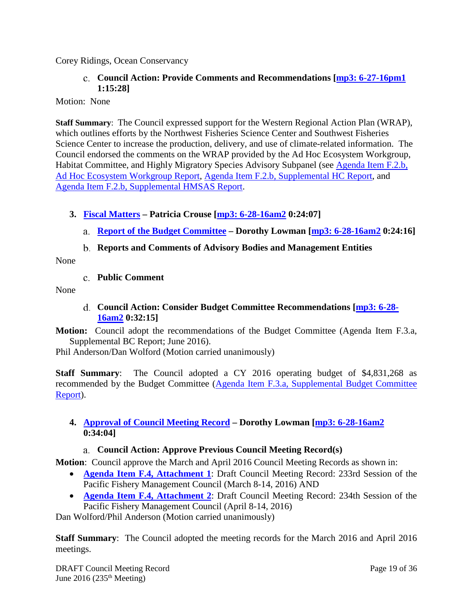<span id="page-18-0"></span>Corey Ridings, Ocean Conservancy

#### **Council Action: Provide Comments and Recommendations [\[mp3: 6-27-16pm1](ftp://ftp.pcouncil.org/pub/R1606_June_2016_Recordings/6-27-16pm1Copy.mp3) 1:15:28]**

Motion: None

**Staff Summary**: The Council expressed support for the Western Regional Action Plan (WRAP), which outlines efforts by the Northwest Fisheries Science Center and Southwest Fisheries Science Center to increase the production, delivery, and use of climate-related information. The Council endorsed the comments on the WRAP provided by the Ad Hoc Ecosystem Workgroup, Habitat Committee, and Highly Migratory Species Advisory Subpanel (see Agenda Item F.2.b, [Ad Hoc Ecosystem Workgroup Report, Agenda Item F.2.b, Supplemental HC Report](http://www.pcouncil.org/wp-content/uploads/2016/06/F2b_EWG_Rpt_JUN2016BB.pdf)[, and](http://www.pcouncil.org/wp-content/uploads/2016/06/F2b_Sup_HC_Rpt_JUN2016BB.pdf)  [Agenda Item F.2.b, Supplemental HMSAS Report.](http://www.pcouncil.org/wp-content/uploads/2016/06/F2b_Sup_HMSAS_Rpt_JUN2016BB.pdf)

### <span id="page-18-1"></span>**3. [Fiscal Matters](http://www.pcouncil.org/wp-content/uploads/2016/06/F3__SitSum_Fiscal_JUN2016BB.pdf) – Patricia Crouse [\[mp3: 6-28-16am2](ftp://ftp.pcouncil.org/pub/R1606_June_2016_Recordings/6-28-16am2Copy.mp3) 0:24:07]**

- <span id="page-18-2"></span>**[Report of the Budget Committee](http://www.pcouncil.org/wp-content/uploads/2016/06/F3a_Sup_BudCom_Rpt_JUN2016BB.pdf) – Dorothy Lowman [\[mp3: 6-28-16am2](ftp://ftp.pcouncil.org/pub/R1606_June_2016_Recordings/6-28-16am2Copy.mp3) 0:24:16]**
- **Reports and Comments of Advisory Bodies and Management Entities**

<span id="page-18-4"></span><span id="page-18-3"></span>None

**Public Comment**

<span id="page-18-5"></span>None

**Council Action: Consider Budget Committee Recommendations [\[mp3: 6-28-](ftp://ftp.pcouncil.org/pub/R1606_June_2016_Recordings/6-28-16am2Copy.mp3) [16am2](ftp://ftp.pcouncil.org/pub/R1606_June_2016_Recordings/6-28-16am2Copy.mp3) 0:32:15]**

**Motion:** Council adopt the recommendations of the Budget Committee (Agenda Item F.3.a, Supplemental BC Report; June 2016).

Phil Anderson/Dan Wolford (Motion carried unanimously)

**Staff Summary**: The Council adopted a CY 2016 operating budget of \$4,831,268 as recommended by the Budget Committee [\(Agenda Item F.3.a, Supplemental Budget Committee](http://www.pcouncil.org/wp-content/uploads/2016/06/F3a_Sup_BudCom_Rpt_JUN2016BB.pdf)  [Report\)](http://www.pcouncil.org/wp-content/uploads/2016/06/F3a_Sup_BudCom_Rpt_JUN2016BB.pdf).

### <span id="page-18-6"></span>**4. [Approval of Council Meeting Record](http://www.pcouncil.org/wp-content/uploads/2016/06/F4__SitSum_MtgRec_JUN2016BB.pdf) – Dorothy Lowman [\[mp3: 6-28-16am2](ftp://ftp.pcouncil.org/pub/R1606_June_2016_Recordings/6-28-16am2Copy.mp3) 0:34:04]**

# **Council Action: Approve Previous Council Meeting Record(s)**

<span id="page-18-7"></span>**Motion**: Council approve the March and April 2016 Council Meeting Records as shown in:

- **[Agenda Item F.4, Attachment 1](http://www.pcouncil.org/wp-content/uploads/2016/06/F4_Att1_DraftMarch2016CouncilRecord_JUN2016BB.pdf)**: Draft Council Meeting Record: 233rd Session of the Pacific Fishery Management Council (March 8-14, 2016) AND
- **[Agenda Item F.4, Attachment 2](http://www.pcouncil.org/wp-content/uploads/2016/06/F4_Att2_DraftApril2016CouncilRecord_JUN2016BB.pdf)**: Draft Council Meeting Record: 234th Session of the Pacific Fishery Management Council (April 8-14, 2016)

Dan Wolford/Phil Anderson (Motion carried unanimously)

**Staff Summary**: The Council adopted the meeting records for the March 2016 and April 2016 meetings.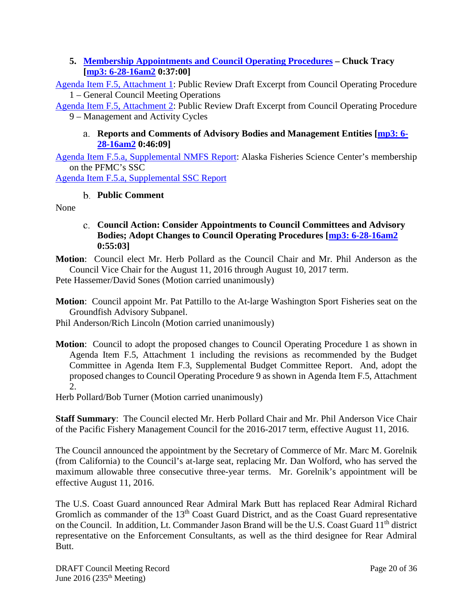### <span id="page-19-0"></span>**5. [Membership Appointments and Council Operating Procedures](http://www.pcouncil.org/wp-content/uploads/2016/06/F5__SitSum_ApptsCOPs_JUN2016BB.pdf) – Chuck Tracy [\[mp3: 6-28-16am2](ftp://ftp.pcouncil.org/pub/R1606_June_2016_Recordings/6-28-16am2Copy.mp3) 0:37:00]**

[Agenda Item F.5, Attachment 1:](http://www.pcouncil.org/wp-content/uploads/2016/06/F5_Att1_COP1_proposal_JUN2016BB.pdf) Public Review Draft Excerpt from Council Operating Procedure 1 – General Council Meeting Operations

<span id="page-19-1"></span>[Agenda Item F.5, Attachment 2:](http://www.pcouncil.org/wp-content/uploads/2016/06/F5_Att2_Revised_COP9_Draft_JUN2016BB.pdf) Public Review Draft Excerpt from Council Operating Procedure 9 – Management and Activity Cycles

#### **Reports and Comments of Advisory Bodies and Management Entities [\[mp3: 6-](ftp://ftp.pcouncil.org/pub/R1606_June_2016_Recordings/6-28-16am2Copy.mp3) [28-16am2](ftp://ftp.pcouncil.org/pub/R1606_June_2016_Recordings/6-28-16am2Copy.mp3) 0:46:09]**

[Agenda Item F.5.a, Supplemental NMFS Report:](http://www.pcouncil.org/wp-content/uploads/2016/06/F5a_Sup_NMFS_Rpt_SSCseats_JUN2016BB.pdf) Alaska Fisheries Science Center's membership on the PFMC's SSC

<span id="page-19-2"></span>[Agenda Item F.5.a, Supplemental SSC Report](http://www.pcouncil.org/wp-content/uploads/2016/06/F5a_Sup_SSC_Rpt_JUN2016BB.pdf)

# **Public Comment**

<span id="page-19-3"></span>None

### **Council Action: Consider Appointments to Council Committees and Advisory Bodies; Adopt Changes to Council Operating Procedures [\[mp3: 6-28-16am2](ftp://ftp.pcouncil.org/pub/R1606_June_2016_Recordings/6-28-16am2Copy.mp3) 0:55:03]**

**Motion**: Council elect Mr. Herb Pollard as the Council Chair and Mr. Phil Anderson as the Council Vice Chair for the August 11, 2016 through August 10, 2017 term.

Pete Hassemer/David Sones (Motion carried unanimously)

**Motion**: Council appoint Mr. Pat Pattillo to the At-large Washington Sport Fisheries seat on the Groundfish Advisory Subpanel.

Phil Anderson/Rich Lincoln (Motion carried unanimously)

**Motion**: Council to adopt the proposed changes to Council Operating Procedure 1 as shown in Agenda Item F.5, Attachment 1 including the revisions as recommended by the Budget Committee in Agenda Item F.3, Supplemental Budget Committee Report. And, adopt the proposed changes to Council Operating Procedure 9 as shown in Agenda Item F.5, Attachment 2.

Herb Pollard/Bob Turner (Motion carried unanimously)

**Staff Summary**: The Council elected Mr. Herb Pollard Chair and Mr. Phil Anderson Vice Chair of the Pacific Fishery Management Council for the 2016-2017 term, effective August 11, 2016.

The Council announced the appointment by the Secretary of Commerce of Mr. Marc M. Gorelnik (from California) to the Council's at-large seat, replacing Mr. Dan Wolford, who has served the maximum allowable three consecutive three-year terms. Mr. Gorelnik's appointment will be effective August 11, 2016.

The U.S. Coast Guard announced Rear Admiral Mark Butt has replaced Rear Admiral Richard Gromlich as commander of the 13<sup>th</sup> Coast Guard District, and as the Coast Guard representative on the Council. In addition, Lt. Commander Jason Brand will be the U.S. Coast Guard 11<sup>th</sup> district representative on the Enforcement Consultants, as well as the third designee for Rear Admiral Butt.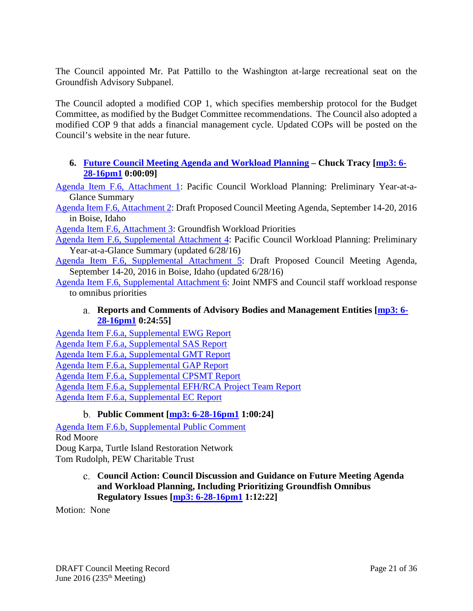The Council appointed Mr. Pat Pattillo to the Washington at-large recreational seat on the Groundfish Advisory Subpanel.

The Council adopted a modified COP 1, which specifies membership protocol for the Budget Committee, as modified by the Budget Committee recommendations. The Council also adopted a modified COP 9 that adds a financial management cycle. Updated COPs will be posted on the Council's website in the near future.

### <span id="page-20-0"></span>**6. [Future Council Meeting Agenda and Workload Planning](http://www.pcouncil.org/wp-content/uploads/2016/06/F6__SitSum_CMAgendaPlanning_JUN2016BB.pdf) – Chuck Tracy [\[mp3: 6-](ftp://ftp.pcouncil.org/pub/R1606_June_2016_Recordings/6-28-16pm1Copy.mp3) [28-16pm1](ftp://ftp.pcouncil.org/pub/R1606_June_2016_Recordings/6-28-16pm1Copy.mp3) 0:00:09]**

[Agenda Item F.6, Attachment 1:](http://www.pcouncil.org/wp-content/uploads/2016/06/F6_Att1_YAG_JUN2016BB.pdf) Pacific Council Workload Planning: Preliminary Year-at-a-Glance Summary

[Agenda Item F.6, Attachment 2:](http://www.pcouncil.org/wp-content/uploads/2016/06/F6_Att2_Sept16QR_JUN2016BB.pdf) Draft Proposed Council Meeting Agenda, September 14-20, 2016 in Boise, Idaho

[Agenda Item F.6, Attachment 3:](http://www.pcouncil.org/wp-content/uploads/2016/06/F6_Att3_GFworkload_JUN2016BB.pdf) Groundfish Workload Priorities

[Agenda Item F.6, Supplemental Attachment 4:](http://www.pcouncil.org/wp-content/uploads/2016/06/F6_Sup_Att4_YAG_JUN2016BB.pdf) Pacific Council Workload Planning: Preliminary Year-at-a-Glance Summary (updated 6/28/16)

[Agenda Item F.6, Supplemental Attachment 5:](http://www.pcouncil.org/wp-content/uploads/2016/06/F6_Sup_Att5_Sept16QR_JUN2016BB.pdf) Draft Proposed Council Meeting Agenda, September 14-20, 2016 in Boise, Idaho (updated 6/28/16)

<span id="page-20-1"></span>[Agenda Item F.6, Supplemental Attachment 6:](http://www.pcouncil.org/wp-content/uploads/2016/06/F6_Sup_Att6_Joint_NMFS_PFMC_Staff_Response_JUN2016BB.pdf) Joint NMFS and Council staff workload response to omnibus priorities

### **Reports and Comments of Advisory Bodies and Management Entities [\[mp3: 6-](ftp://ftp.pcouncil.org/pub/R1606_June_2016_Recordings/6-28-16pm1Copy.mp3) [28-16pm1](ftp://ftp.pcouncil.org/pub/R1606_June_2016_Recordings/6-28-16pm1Copy.mp3) 0:24:55]**

[Agenda Item F.6.a, Supplemental EWG Report](http://www.pcouncil.org/wp-content/uploads/2016/06/F6a_Sup_EWG_Rpt_JUN2016BB.pdf) [Agenda Item F.6.a, Supplemental SAS Report](http://www.pcouncil.org/wp-content/uploads/2016/06/F6a_Sup_SAS_Rpt_JUN2016BB.pdf) [Agenda Item F.6.a, Supplemental GMT Report](http://www.pcouncil.org/wp-content/uploads/2016/06/F6a_Sup_GMT_Rpt_JUN2016BB.pdf) [Agenda Item F.6.a, Supplemental GAP Report](http://www.pcouncil.org/wp-content/uploads/2016/06/F6a_Sup_GAP_Rpt_JUN2016BB.pdf) [Agenda Item F.6.a, Supplemental CPSMT Report](http://www.pcouncil.org/wp-content/uploads/2016/06/F6a_Sup_CPSMT_Rpt_JUN2016BB.pdf) [Agenda Item F.6.a, Supplemental EFH/RCA Project Team Report](http://www.pcouncil.org/wp-content/uploads/2016/06/F6a_Sup_EFH_and_RCA_Team_Rpt_JUN2016BB.pdf) [Agenda Item F.6.a, Supplemental EC Report](http://www.pcouncil.org/wp-content/uploads/2016/06/F6a_Sup_EC_Rpt_JUN2016BB.pdf)

### **Public Comment [\[mp3: 6-28-16pm1](ftp://ftp.pcouncil.org/pub/R1606_June_2016_Recordings/6-28-16pm1Copy.mp3) 1:00:24]**

<span id="page-20-2"></span>[Agenda Item F.6.b, Supplemental Public](http://www.pcouncil.org/wp-content/uploads/2016/06/F6b_Sup_PubCom_JUN2016BB.pdf) Comment Rod Moore Doug Karpa, Turtle Island Restoration Network Tom Rudolph, PEW Charitable Trust

### <span id="page-20-3"></span>**Council Action: Council Discussion and Guidance on Future Meeting Agenda and Workload Planning, Including Prioritizing Groundfish Omnibus Regulatory Issues [\[mp3: 6-28-16pm1](ftp://ftp.pcouncil.org/pub/R1606_June_2016_Recordings/6-28-16pm1Copy.mp3) 1:12:22]**

Motion: None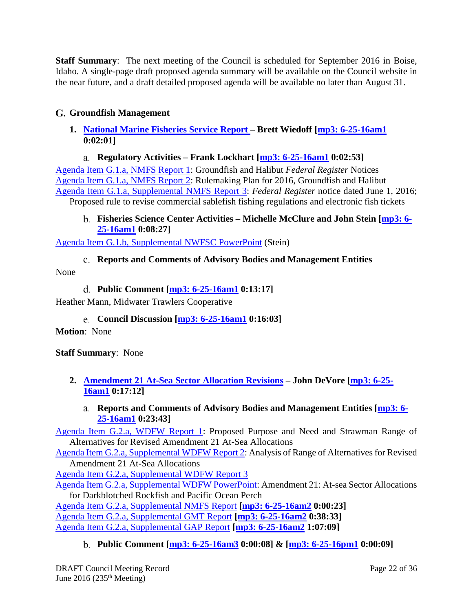**Staff Summary**: The next meeting of the Council is scheduled for September 2016 in Boise, Idaho. A single-page draft proposed agenda summary will be available on the Council website in the near future, and a draft detailed proposed agenda will be available no later than August 31.

# <span id="page-21-0"></span>**Groundfish Management**

<span id="page-21-1"></span>**1. [National Marine Fisheries Service Report –](http://www.pcouncil.org/wp-content/uploads/2016/06/G1__SitSum_NMFS_Rpt_Groundfish_JUN2016BB.pdf) Brett Wiedoff [\[mp3: 6-25-16am1](ftp://ftp.pcouncil.org/pub/R1606_June_2016_Recordings/6-25-16am1Copy.mp3) 0:02:01]**

# **Regulatory Activities – Frank Lockhart [\[mp3: 6-25-16am1](ftp://ftp.pcouncil.org/pub/R1606_June_2016_Recordings/6-25-16am1Copy.mp3) 0:02:53]**

<span id="page-21-2"></span>[Agenda Item G.1.a, NMFS Report 1:](http://www.pcouncil.org/wp-content/uploads/2016/06/G1a_NMFS_Rpt1_JUN2016BB.pdf) Groundfish and Halibut *Federal Register* Notices [Agenda Item G.1.a, NMFS Report 2:](http://www.pcouncil.org/wp-content/uploads/2016/06/G1a_NMFS_Rpt2_JUN2016BB.pdf) Rulemaking Plan for 2016, Groundfish and Halibut [Agenda Item G.1.a, Supplemental NMFS Report 3:](http://www.pcouncil.org/wp-content/uploads/2016/06/G1a_Sup_NMFS_Rpt3_JUN2016BBs.pdf) *Federal Register* notice dated June 1, 2016; Proposed rule to revise commercial sablefish fishing regulations and electronic fish tickets

#### <span id="page-21-3"></span>**Fisheries Science Center Activities – Michelle McClure and John Stein [\[mp3: 6-](ftp://ftp.pcouncil.org/pub/R1606_June_2016_Recordings/6-25-16am1Copy.mp3) [25-16am1](ftp://ftp.pcouncil.org/pub/R1606_June_2016_Recordings/6-25-16am1Copy.mp3) 0:08:27]**

<span id="page-21-4"></span>[Agenda Item G.1.b, Supplemental NWFSC PowerPoint](http://www.pcouncil.org/wp-content/uploads/2016/06/G1b_NWC_Science_Report_Stein_PPT_JUNE2016BB.pdf) (Stein)

### **Reports and Comments of Advisory Bodies and Management Entities**

<span id="page-21-5"></span>None

### **Public Comment [\[mp3: 6-25-16am1](ftp://ftp.pcouncil.org/pub/R1606_June_2016_Recordings/6-25-16am1Copy.mp3) 0:13:17]**

<span id="page-21-6"></span>Heather Mann, Midwater Trawlers Cooperative

**Council Discussion [\[mp3: 6-25-16am1](ftp://ftp.pcouncil.org/pub/R1606_June_2016_Recordings/6-25-16am1Copy.mp3) 0:16:03]**

**Motion**: None

**Staff Summary**: None

<span id="page-21-8"></span><span id="page-21-7"></span>**2. [Amendment 21 At-Sea Sector Allocation Revisions](http://www.pcouncil.org/wp-content/uploads/2016/06/G2__SitSum_A21_At-Sea_Sector_Allocations_JUN2016BB.pdf) – John DeVore [\[mp3: 6-25-](ftp://ftp.pcouncil.org/pub/R1606_June_2016_Recordings/6-25-16am1Copy.mp3) [16am1](ftp://ftp.pcouncil.org/pub/R1606_June_2016_Recordings/6-25-16am1Copy.mp3) 0:17:12]**

# **Reports and Comments of Advisory Bodies and Management Entities [\[mp3: 6-](ftp://ftp.pcouncil.org/pub/R1606_June_2016_Recordings/6-25-16am1Copy.mp3) [25-16am1](ftp://ftp.pcouncil.org/pub/R1606_June_2016_Recordings/6-25-16am1Copy.mp3) 0:23:43]**

[Agenda Item G.2.a, WDFW Report 1:](http://www.pcouncil.org/wp-content/uploads/2016/06/G2a_WDFW_Rpt1_AM21_JUN2016BB.pdf) Proposed Purpose and Need and Strawman Range of Alternatives for Revised Amendment 21 At-Sea Allocations

[Agenda Item G.2.a, Supplemental WDFW Report 2:](http://www.pcouncil.org/wp-content/uploads/2016/06/G2a_Sup_WDFW_Rpt2_AnalysisAltsRevAM21_JUN2016BB.pdf) Analysis of Range of Alternatives for Revised Amendment 21 At-Sea Allocations

[Agenda Item G.2.a, Supplemental WDFW Report 3](http://www.pcouncil.org/wp-content/uploads/2016/06/G2a_Sup_WDFW_Rpt3_JUN2016BB.pdf)

[Agenda Item G.2.a, Supplemental WDFW PowerPoint:](http://www.pcouncil.org/wp-content/uploads/2016/06/G2a_Sup_WDFW_Am21_PPT_JUN2016BB.pdf) Amendment 21: At-sea Sector Allocations for Darkblotched Rockfish and Pacific Ocean Perch

[Agenda Item G.2.a, Supplemental NMFS Report](http://www.pcouncil.org/wp-content/uploads/2016/06/G2a_Sup_NMFS_Rpt_A21_Changes_JUN2016BB.pdf) **[\[mp3: 6-25-16am2](ftp://ftp.pcouncil.org/pub/R1606_June_2016_Recordings/6-25-16am2Copy.mp3) 0:00:23]** [Agenda Item G.2.a, Supplemental GMT Report](http://www.pcouncil.org/wp-content/uploads/2016/06/G2a_Sup_GMT_Rpt_JUN2016BB.pdf) **[\[mp3: 6-25-16am2](ftp://ftp.pcouncil.org/pub/R1606_June_2016_Recordings/6-25-16am2Copy.mp3) 0:38:33]** [Agenda Item G.2.a, Supplemental GAP Report](http://www.pcouncil.org/wp-content/uploads/2016/06/G2a_Sup_GAP_Rpt_JUN2016BB.pdf) **[\[mp3: 6-25-16am2](ftp://ftp.pcouncil.org/pub/R1606_June_2016_Recordings/6-25-16am2Copy.mp3) 1:07:09]**

### <span id="page-21-9"></span>**Public Comment [\[mp3: 6-25-16am3](ftp://ftp.pcouncil.org/pub/R1606_June_2016_Recordings/6-25-16am3Copy.mp3) 0:00:08] & [\[mp3: 6-25-16pm1](ftp://ftp.pcouncil.org/pub/R1606_June_2016_Recordings/6-25-16pm1Copy.mp3) 0:00:09]**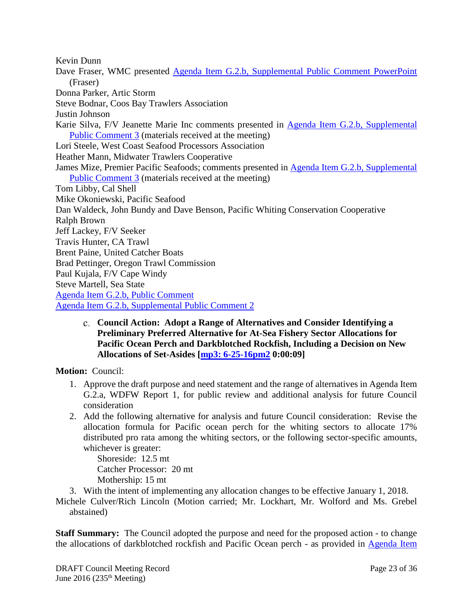Kevin Dunn Dave Fraser, WMC presented [Agenda Item G.2.b, Supplemental Public Comment PowerPoint](http://www.pcouncil.org/wp-content/uploads/2016/06/G2b_Sup_WMC_PPT_Mann_JUN2016BB.pdf) (Fraser) Donna Parker, Artic Storm Steve Bodnar, Coos Bay Trawlers Association Justin Johnson Karie Silva, F/V Jeanette Marie Inc comments presented in [Agenda Item G.2.b, Supplemental](http://www.pcouncil.org/wp-content/uploads/2016/06/G2b_Sup_PubCom3_MtslAtMtg_JUN2016BB.pdf)  [Public Comment 3](http://www.pcouncil.org/wp-content/uploads/2016/06/G2b_Sup_PubCom3_MtslAtMtg_JUN2016BB.pdf) (materials received at the meeting) Lori Steele, West Coast Seafood Processors Association Heather Mann, Midwater Trawlers Cooperative James Mize, Premier Pacific Seafoods; comments presented in [Agenda Item G.2.b, Supplemental](http://www.pcouncil.org/wp-content/uploads/2016/06/G2b_Sup_PubCom3_MtslAtMtg_JUN2016BB.pdf)  [Public Comment 3](http://www.pcouncil.org/wp-content/uploads/2016/06/G2b_Sup_PubCom3_MtslAtMtg_JUN2016BB.pdf) (materials received at the meeting) Tom Libby, Cal Shell Mike Okoniewski, Pacific Seafood Dan Waldeck, John Bundy and Dave Benson, Pacific Whiting Conservation Cooperative Ralph Brown Jeff Lackey, F/V Seeker Travis Hunter, CA Trawl Brent Paine, United Catcher Boats Brad Pettinger, Oregon Trawl Commission Paul Kujala, F/V Cape Windy Steve Martell, Sea State [Agenda Item G.2.b, Public Comment](http://www.pcouncil.org/wp-content/uploads/2016/06/G2b_PubCom_JUN2016BB.pdf) [Agenda Item G.2.b, Supplemental Public Comment 2](http://www.pcouncil.org/wp-content/uploads/2016/06/G2b_Sup_PubCom2_JUN2016BB.pdf)

<span id="page-22-0"></span>**Council Action: Adopt a Range of Alternatives and Consider Identifying a Preliminary Preferred Alternative for At-Sea Fishery Sector Allocations for Pacific Ocean Perch and Darkblotched Rockfish, Including a Decision on New Allocations of Set-Asides [\[mp3: 6-25-16pm2](ftp://ftp.pcouncil.org/pub/R1606_June_2016_Recordings/6-25-16pm2Copy.mp3) 0:00:09]**

**Motion:** Council:

- 1. Approve the draft purpose and need statement and the range of alternatives in Agenda Item G.2.a, WDFW Report 1, for public review and additional analysis for future Council consideration
- 2. Add the following alternative for analysis and future Council consideration: Revise the allocation formula for Pacific ocean perch for the whiting sectors to allocate 17% distributed pro rata among the whiting sectors, or the following sector-specific amounts, whichever is greater:

Shoreside: 12.5 mt Catcher Processor: 20 mt Mothership: 15 mt

3. With the intent of implementing any allocation changes to be effective January 1, 2018.

Michele Culver/Rich Lincoln (Motion carried; Mr. Lockhart, Mr. Wolford and Ms. Grebel abstained)

**Staff Summary:** The Council adopted the purpose and need for the proposed action - to change the allocations of darkblotched rockfish and Pacific Ocean perch - as provided in [Agenda Item](http://www.pcouncil.org/wp-content/uploads/2016/06/G2a_WDFW_Rpt1_AM21_JUN2016BB.pdf)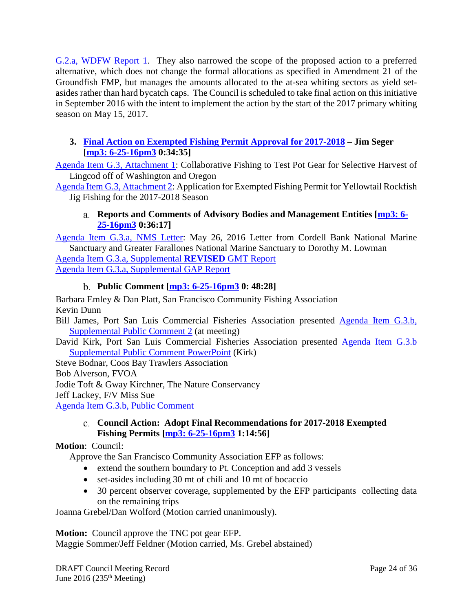[G.2.a, WDFW Report 1.](http://www.pcouncil.org/wp-content/uploads/2016/06/G2a_WDFW_Rpt1_AM21_JUN2016BB.pdf) They also narrowed the scope of the proposed action to a preferred alternative, which does not change the formal allocations as specified in Amendment 21 of the Groundfish FMP, but manages the amounts allocated to the at-sea whiting sectors as yield setasides rather than hard bycatch caps. The Council is scheduled to take final action on this initiative in September 2016 with the intent to implement the action by the start of the 2017 primary whiting season on May 15, 2017.

### <span id="page-23-0"></span>**3. [Final Action on Exempted Fishing Permit Approval for 2017-2018](http://www.pcouncil.org/wp-content/uploads/2016/06/G3__SitSum_EFP_FinalApproval_JUN2016BB.pdf) – Jim Seger [\[mp3: 6-25-16pm3](ftp://ftp.pcouncil.org/pub/R1606_June_2016_Recordings/6-25-16pm3Copy.mp3) 0:34:35]**

[Agenda Item G.3, Attachment 1:](http://www.pcouncil.org/wp-content/uploads/2016/06/G3_Att1_TNC_EFP_JUN2016BB.pdf) Collaborative Fishing to Test Pot Gear for Selective Harvest of Lingcod off of Washington and Oregon

<span id="page-23-1"></span>[Agenda Item G.3, Attachment 2:](http://www.pcouncil.org/wp-content/uploads/2016/06/G3_Att2_Platt-SFCFA_FINAL_EFP_Proposal_JUN2016BB.pdf) Application for Exempted Fishing Permit for Yellowtail Rockfish Jig Fishing for the 2017-2018 Season

### **Reports and Comments of Advisory Bodies and Management Entities [\[mp3: 6-](ftp://ftp.pcouncil.org/pub/R1606_June_2016_Recordings/6-25-16pm3Copy.mp3) [25-16pm3](ftp://ftp.pcouncil.org/pub/R1606_June_2016_Recordings/6-25-16pm3Copy.mp3) 0:36:17]**

[Agenda Item G.3.a, NMS Letter:](http://www.pcouncil.org/wp-content/uploads/2016/06/G3a_NMS_EFPletterMay2016_JUN2016BB.pdf) May 26, 2016 Letter from Cordell Bank National Marine Sanctuary and Greater Farallones National Marine Sanctuary to Dorothy M. Lowman [Agenda Item G.3.a, Supplemental](http://www.pcouncil.org/wp-content/uploads/2016/06/G3a_Sup_REVISED_GMT_Rpt_JUN2016BB.pdf) **REVISED** GMT Report [Agenda Item G.3.a, Supplemental GAP Report](http://www.pcouncil.org/wp-content/uploads/2016/06/G3a_Sup_GAP_Rpt_JUN2016BB.pdf)

# **Public Comment [\[mp3: 6-25-16pm3](ftp://ftp.pcouncil.org/pub/R1606_June_2016_Recordings/6-25-16pm3Copy.mp3) 0: 48:28]**

<span id="page-23-2"></span>Barbara Emley & Dan Platt, San Francisco Community Fishing Association Kevin Dunn

Bill James, Port San Luis Commercial Fisheries Association presented [Agenda Item G.3.b,](http://www.pcouncil.org/wp-content/uploads/2016/06/G3b_Sup_PubCom2_JUN2016BB.pdf)  [Supplemental Public](http://www.pcouncil.org/wp-content/uploads/2016/06/G3b_Sup_PubCom2_JUN2016BB.pdf) Comment 2 (at meeting)

David Kirk, Port San Luis Commercial Fisheries Association presented [Agenda Item G.3.b](http://www.pcouncil.org/wp-content/uploads/2016/06/G3b_Sup_PubCom_PPT_Kirk_JUN2016BB.pdf)  [Supplemental Public Comment PowerPoint](http://www.pcouncil.org/wp-content/uploads/2016/06/G3b_Sup_PubCom_PPT_Kirk_JUN2016BB.pdf) (Kirk)

Steve Bodnar, Coos Bay Trawlers Association Bob Alverson, FVOA Jodie Toft & Gway Kirchner, The Nature Conservancy Jeff Lackey, F/V Miss Sue [Agenda Item G.3.b, Public Comment](http://www.pcouncil.org/wp-content/uploads/2016/06/G3b_PubCom_JUN2016BB.pdf)

#### <span id="page-23-3"></span>**Council Action: Adopt Final Recommendations for 2017-2018 Exempted Fishing Permits [\[mp3: 6-25-16pm3](ftp://ftp.pcouncil.org/pub/R1606_June_2016_Recordings/6-25-16pm3Copy.mp3) 1:14:56]**

### **Motion**: Council:

Approve the San Francisco Community Association EFP as follows:

- extend the southern boundary to Pt. Conception and add 3 vessels
- set-asides including 30 mt of chili and 10 mt of bocaccio
- 30 percent observer coverage, supplemented by the EFP participants collecting data on the remaining trips

Joanna Grebel/Dan Wolford (Motion carried unanimously).

**Motion:** Council approve the TNC pot gear EFP.

Maggie Sommer/Jeff Feldner (Motion carried, Ms. Grebel abstained)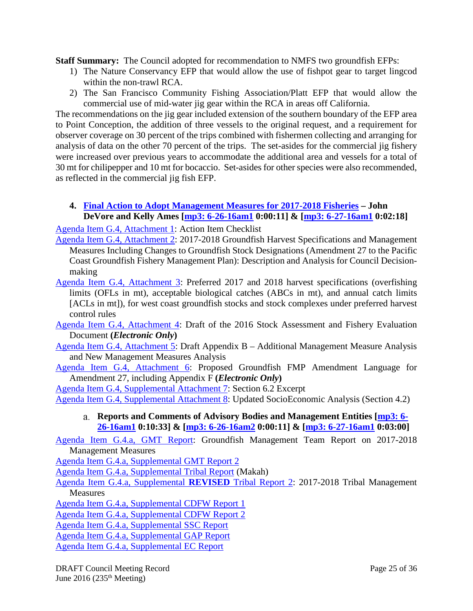**Staff Summary:** The Council adopted for recommendation to NMFS two groundfish EFPs:

- 1) The Nature Conservancy EFP that would allow the use of fishpot gear to target lingcod within the non-trawl RCA.
- 2) The San Francisco Community Fishing Association/Platt EFP that would allow the commercial use of mid-water jig gear within the RCA in areas off California.

The recommendations on the jig gear included extension of the southern boundary of the EFP area to Point Conception, the addition of three vessels to the original request, and a requirement for observer coverage on 30 percent of the trips combined with fishermen collecting and arranging for analysis of data on the other 70 percent of the trips. The set-asides for the commercial jig fishery were increased over previous years to accommodate the additional area and vessels for a total of 30 mt for chilipepper and 10 mt for bocaccio. Set-asides for other species were also recommended, as reflected in the commercial jig fish EFP.

# <span id="page-24-0"></span>**4. [Final Action to Adopt Management Measures for 2017-2018 Fisheries](http://www.pcouncil.org/wp-content/uploads/2016/06/G4__SitSum_17-18_SpexandMM_JUN2016BB.pdf) – John DeVore and Kelly Ames [\[mp3: 6-26-16am1](ftp://ftp.pcouncil.org/pub/R1606_June_2016_Recordings/6-26-16am1Copy.mp3) 0:00:11] & [\[mp3: 6-27-16am1](ftp://ftp.pcouncil.org/pub/R1606_June_2016_Recordings/6-27-16am1Copy.mp3) 0:02:18]**

[Agenda Item G.4, Attachment 1:](http://www.pcouncil.org/wp-content/uploads/2016/06/G4_Att1_ActionItemChecklist_JUN2016BB.pdf) Action Item Checklist

- [Agenda Item G.4, Attachment 2:](http://www.pcouncil.org/wp-content/uploads/2016/06/G4_Att2_Analysis_Doc_JUN2016BB.pdf) 2017-2018 Groundfish Harvest Specifications and Management Measures Including Changes to Groundfish Stock Designations (Amendment 27 to the Pacific Coast Groundfish Fishery Management Plan): Description and Analysis for Council Decisionmaking
- [Agenda Item G.4, Attachment 3:](http://www.pcouncil.org/wp-content/uploads/2016/06/G4_Att3_SpexTables_JUN2016BB.pdf) Preferred 2017 and 2018 harvest specifications (overfishing limits (OFLs in mt), acceptable biological catches (ABCs in mt), and annual catch limits [ACLs in mt]), for west coast groundfish stocks and stock complexes under preferred harvest control rules
- [Agenda Item G.4, Attachment 4:](http://www.pcouncil.org/wp-content/uploads/2016/06/G4_Att4_SAFE_ElectOnly_JUN2016BB.pdf) Draft of the 2016 Stock Assessment and Fishery Evaluation Document **(***Electronic Only***)**
- [Agenda Item G.4, Attachment 5:](http://www.pcouncil.org/wp-content/uploads/2016/06/G4_Att5_DraftAppB_JUN2016BB.pdf) Draft Appendix B Additional Management Measure Analysis and New Management Measures Analysis
- [Agenda Item G.4, Attachment 6:](http://www.pcouncil.org/wp-content/uploads/2016/06/G4_Att6_GF_FMP_DRAFT_ElectOnly_JUN2016BB.pdf) Proposed Groundfish FMP Amendment Language for Amendment 27, including Appendix F **(***Electronic Only***)**
- [Agenda Item G.4, Supplemental Attachment 7:](http://www.pcouncil.org/wp-content/uploads/2016/06/G4_Sup_Att7_FMP_Sec_6.2_JUN2016BB.pdf) Section 6.2 Excerpt

<span id="page-24-1"></span>[Agenda Item G.4, Supplemental Attachment 8:](http://www.pcouncil.org/wp-content/uploads/2016/06/G4_Sup_Att8_UpdatedSocioEconAnalysis_JUN2016BB.pdf) Updated SocioEconomic Analysis (Section 4.2)

**Reports and Comments of Advisory Bodies and Management Entities [\[mp3: 6-](ftp://ftp.pcouncil.org/pub/R1606_June_2016_Recordings/6-26-16am1Copy.mp3) [26-16am1](ftp://ftp.pcouncil.org/pub/R1606_June_2016_Recordings/6-26-16am1Copy.mp3) 0:10:33] & [\[mp3: 6-26-16am2](ftp://ftp.pcouncil.org/pub/R1606_June_2016_Recordings/6-26-16am2Copy.mp3) 0:00:11] & [\[mp3: 6-27-16am1](ftp://ftp.pcouncil.org/pub/R1606_June_2016_Recordings/6-27-16am1Copy.mp3) 0:03:00]**

[Agenda Item G.4.a, GMT Report:](http://www.pcouncil.org/wp-content/uploads/2016/06/G4a_GMT_Rpt_17-18_MM_JUN2016BB.pdf) Groundfish Management Team Report on 2017-2018 Management Measures

[Agenda Item G.4.a, Supplemental GMT Report 2](http://www.pcouncil.org/wp-content/uploads/2016/06/G4a_Sup_GMT_Rpt2_JUN2016BB.pdf)

- [Agenda Item G.4.a, Supplemental Tribal Report](http://www.pcouncil.org/wp-content/uploads/2016/06/G4a_Sup_Tribal_Rpt_JUN2016BB.pdf) (Makah)
- [Agenda Item G.4.a, Supplemental](http://www.pcouncil.org/wp-content/uploads/2016/06/G4a_Sup_REVISED_Tribal_Rpt2_17-18TMM_JUN2016BB.pdf) **REVISED** Tribal Report 2: 2017-2018 Tribal Management **Measures**
- [Agenda Item G.4.a, Supplemental CDFW Report 1](http://www.pcouncil.org/wp-content/uploads/2016/06/G4a_Sup_CDFW_Rpt1_JUN2016BB.pdf)

[Agenda Item G.4.a, Supplemental CDFW Report 2](http://www.pcouncil.org/wp-content/uploads/2016/06/G4a_Sup_CDFW_Rpt2_JUN2016BB.pdf)

[Agenda Item G.4.a, Supplemental SSC Report](http://www.pcouncil.org/wp-content/uploads/2016/06/G4a_Sup_SSC_Rpt_JUN2016BB.pdf)

[Agenda Item G.4.a, Supplemental GAP Report](http://www.pcouncil.org/wp-content/uploads/2016/06/G4a_Sup_GAP_Rpt_2017-18Spex_and_MM_JUN2016BB.pdf)

[Agenda Item G.4.a, Supplemental EC Report](http://www.pcouncil.org/wp-content/uploads/2016/06/G4a_Sup_EC_Rpt_JUN2016BB.pdf)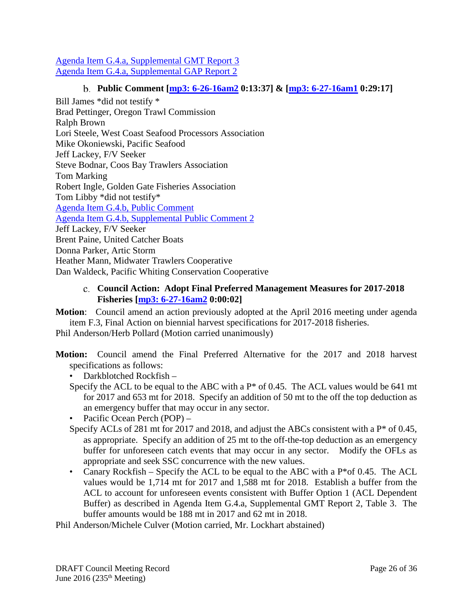[Agenda Item G.4.a, Supplemental GMT Report 3](http://www.pcouncil.org/wp-content/uploads/2016/06/G4a_Sup_GMT_Rpt3_JUN2016BB.pdf) [Agenda Item G.4.a, Supplemental GAP Report 2](http://www.pcouncil.org/wp-content/uploads/2016/06/G4a_Sup_GAP_Rpt2_JUN2016BB.pdf)

# **Public Comment [\[mp3: 6-26-16am2](ftp://ftp.pcouncil.org/pub/R1606_June_2016_Recordings/6-26-16am2Copy.mp3) 0:13:37] & [\[mp3: 6-27-16am1](ftp://ftp.pcouncil.org/pub/R1606_June_2016_Recordings/6-27-16am1Copy.mp3) 0:29:17]**

<span id="page-25-0"></span>Bill James \*did not testify \* Brad Pettinger, Oregon Trawl Commission Ralph Brown Lori Steele, West Coast Seafood Processors Association Mike Okoniewski, Pacific Seafood Jeff Lackey, F/V Seeker Steve Bodnar, Coos Bay Trawlers Association Tom Marking Robert Ingle, Golden Gate Fisheries Association Tom Libby \*did not testify\* [Agenda Item G.4.b, Public Comment](http://www.pcouncil.org/wp-content/uploads/2016/06/G4b_PubCom_JUN2016BB.pdf) [Agenda Item G.4.b, Supplemental Public Comment 2](http://www.pcouncil.org/wp-content/uploads/2016/06/G4b_Sup_PubCom2_JUN2016BB.pdf) Jeff Lackey, F/V Seeker Brent Paine, United Catcher Boats Donna Parker, Artic Storm Heather Mann, Midwater Trawlers Cooperative Dan Waldeck, Pacific Whiting Conservation Cooperative

### <span id="page-25-1"></span>**Council Action: Adopt Final Preferred Management Measures for 2017-2018 Fisheries [\[mp3: 6-27-16am2](ftp://ftp.pcouncil.org/pub/R1606_June_2016_Recordings/6-27-16am2Copy.mp3) 0:00:02]**

**Motion**: Council amend an action previously adopted at the April 2016 meeting under agenda item F.3, Final Action on biennial harvest specifications for 2017-2018 fisheries.

Phil Anderson/Herb Pollard (Motion carried unanimously)

- **Motion:** Council amend the Final Preferred Alternative for the 2017 and 2018 harvest specifications as follows:
	- Darkblotched Rockfish –
	- Specify the ACL to be equal to the ABC with a  $P^*$  of 0.45. The ACL values would be 641 mt for 2017 and 653 mt for 2018. Specify an addition of 50 mt to the off the top deduction as an emergency buffer that may occur in any sector.
	- Pacific Ocean Perch (POP) –
	- Specify ACLs of 281 mt for 2017 and 2018, and adjust the ABCs consistent with a P<sup>\*</sup> of 0.45, as appropriate. Specify an addition of 25 mt to the off-the-top deduction as an emergency buffer for unforeseen catch events that may occur in any sector. Modify the OFLs as appropriate and seek SSC concurrence with the new values.
	- Canary Rockfish Specify the ACL to be equal to the ABC with a  $P^*$ of 0.45. The ACL values would be 1,714 mt for 2017 and 1,588 mt for 2018. Establish a buffer from the ACL to account for unforeseen events consistent with Buffer Option 1 (ACL Dependent Buffer) as described in Agenda Item G.4.a, Supplemental GMT Report 2, Table 3. The buffer amounts would be 188 mt in 2017 and 62 mt in 2018.

Phil Anderson/Michele Culver (Motion carried, Mr. Lockhart abstained)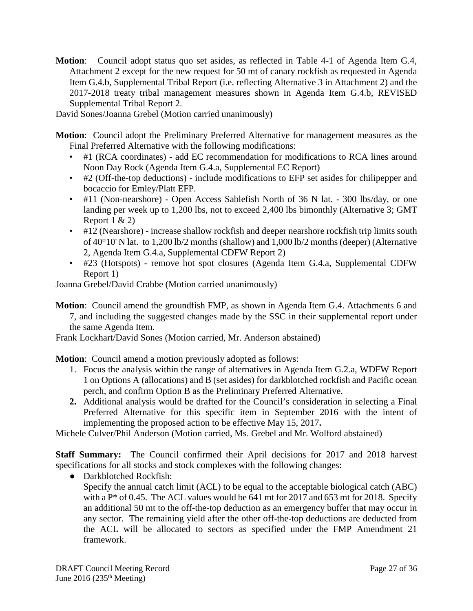**Motion**: Council adopt status quo set asides, as reflected in Table 4-1 of Agenda Item G.4, Attachment 2 except for the new request for 50 mt of canary rockfish as requested in Agenda Item G.4.b, Supplemental Tribal Report (i.e. reflecting Alternative 3 in Attachment 2) and the 2017-2018 treaty tribal management measures shown in Agenda Item G.4.b, REVISED Supplemental Tribal Report 2.

David Sones/Joanna Grebel (Motion carried unanimously)

**Motion**: Council adopt the Preliminary Preferred Alternative for management measures as the Final Preferred Alternative with the following modifications:

- #1 (RCA coordinates) add EC recommendation for modifications to RCA lines around Noon Day Rock (Agenda Item G.4.a, Supplemental EC Report)
- #2 (Off-the-top deductions) include modifications to EFP set asides for chilipepper and bocaccio for Emley/Platt EFP.
- #11 (Non-nearshore) Open Access Sablefish North of 36 N lat. 300 lbs/day, or one landing per week up to 1,200 lbs, not to exceed 2,400 lbs bimonthly (Alternative 3; GMT Report  $1 \& 2)$
- #12 (Nearshore) increase shallow rockfish and deeper nearshore rockfish trip limits south of 40°10' N lat. to 1,200 lb/2 months (shallow) and 1,000 lb/2 months (deeper) (Alternative 2, Agenda Item G.4.a, Supplemental CDFW Report 2)
- #23 (Hotspots) remove hot spot closures (Agenda Item G.4.a, Supplemental CDFW Report 1)

Joanna Grebel/David Crabbe (Motion carried unanimously)

**Motion**: Council amend the groundfish FMP, as shown in Agenda Item G.4. Attachments 6 and 7, and including the suggested changes made by the SSC in their supplemental report under the same Agenda Item.

Frank Lockhart/David Sones (Motion carried, Mr. Anderson abstained)

**Motion**: Council amend a motion previously adopted as follows:

- 1. Focus the analysis within the range of alternatives in Agenda Item G.2.a, WDFW Report 1 on Options A (allocations) and B (set asides) for darkblotched rockfish and Pacific ocean perch, and confirm Option B as the Preliminary Preferred Alternative.
- **2.** Additional analysis would be drafted for the Council's consideration in selecting a Final Preferred Alternative for this specific item in September 2016 with the intent of implementing the proposed action to be effective May 15, 2017**.**

Michele Culver/Phil Anderson (Motion carried, Ms. Grebel and Mr. Wolford abstained)

**Staff Summary:** The Council confirmed their April decisions for 2017 and 2018 harvest specifications for all stocks and stock complexes with the following changes:

• Darkblotched Rockfish: Specify the annual catch limit (ACL) to be equal to the acceptable biological catch (ABC) with a  $P^*$  of 0.45. The ACL values would be 641 mt for 2017 and 653 mt for 2018. Specify an additional 50 mt to the off-the-top deduction as an emergency buffer that may occur in any sector. The remaining yield after the other off-the-top deductions are deducted from the ACL will be allocated to sectors as specified under the FMP Amendment 21 framework.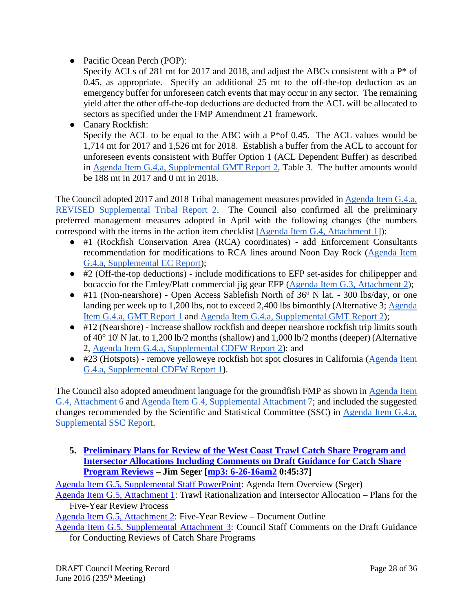● Pacific Ocean Perch (POP):

Specify ACLs of 281 mt for 2017 and 2018, and adjust the ABCs consistent with a P\* of 0.45, as appropriate. Specify an additional 25 mt to the off-the-top deduction as an emergency buffer for unforeseen catch events that may occur in any sector. The remaining yield after the other off-the-top deductions are deducted from the ACL will be allocated to sectors as specified under the FMP Amendment 21 framework.

● Canary Rockfish: Specify the ACL to be equal to the ABC with a P\*of 0.45. The ACL values would be 1,714 mt for 2017 and 1,526 mt for 2018. Establish a buffer from the ACL to account for unforeseen events consistent with Buffer Option 1 (ACL Dependent Buffer) as described in [Agenda Item G.4.a, Supplemental GMT Report 2,](http://www.pcouncil.org/wp-content/uploads/2016/06/G4a_Sup_GMT_Rpt2_JUN2016BB.pdf) Table 3. The buffer amounts would be 188 mt in 2017 and 0 mt in 2018.

The Council adopted 2017 and 2018 Tribal management measures provided i[n Agenda Item G.4.a,](http://www.pcouncil.org/wp-content/uploads/2016/06/G4a_Sup_REVISED_Tribal_Rpt2_17-18TMM_JUN2016BB.pdf)  [REVISED Supplemental Tribal Report 2.](http://www.pcouncil.org/wp-content/uploads/2016/06/G4a_Sup_REVISED_Tribal_Rpt2_17-18TMM_JUN2016BB.pdf) The Council also confirmed all the preliminary preferred management measures adopted in April with the following changes (the numbers correspond with the items in the action item checklist [\[Agenda Item G.4, Attachment 1\]](http://www.pcouncil.org/wp-content/uploads/2016/06/G4_Att1_ActionItemChecklist_JUN2016BB.pdf)):

- #1 (Rockfish Conservation Area (RCA) coordinates) add Enforcement Consultants recommendation for modifications to RCA lines around Noon Day Rock [\(Agenda Item](http://www.pcouncil.org/wp-content/uploads/2016/06/G4a_Sup_EC_Rpt_JUN2016BB.pdf)  [G.4.a, Supplemental EC Report\)](http://www.pcouncil.org/wp-content/uploads/2016/06/G4a_Sup_EC_Rpt_JUN2016BB.pdf);
- #2 (Off-the-top deductions) include modifications to EFP set-asides for chilipepper and bocaccio for the Emley/Platt commercial jig gear EFP [\(Agenda Item G.3, Attachment 2\)](http://www.pcouncil.org/wp-content/uploads/2016/06/G3_Att2_Platt-SFCFA_FINAL_EFP_Proposal_JUN2016BB.pdf);
- $\bullet$  #11 (Non-nearshore) Open Access Sablefish North of 36 $\degree$  N lat. 300 lbs/day, or one landing per week up to 1,200 lbs, not to exceed 2,400 lbs bimonthly (Alternative 3[; Agenda](http://www.pcouncil.org/wp-content/uploads/2016/06/G4a_GMT_Rpt_17-18_MM_JUN2016BB.pdf)  [Item G.4.a, GMT Report 1](http://www.pcouncil.org/wp-content/uploads/2016/06/G4a_GMT_Rpt_17-18_MM_JUN2016BB.pdf) and [Agenda Item G.4.a, Supplemental GMT Report 2\)](http://www.pcouncil.org/wp-content/uploads/2016/06/G4a_Sup_GMT_Rpt2_JUN2016BB.pdf);
- #12 (Nearshore) increase shallow rockfish and deeper nearshore rockfish trip limits south of 40° 10' N lat. to 1,200 lb/2 months (shallow) and 1,000 lb/2 months (deeper) (Alternative 2, [Agenda Item G.4.a, Supplemental CDFW Report 2\)](http://www.pcouncil.org/wp-content/uploads/2016/06/G4a_Sup_CDFW_Rpt2_JUN2016BB.pdf); and
- #23 (Hotspots) remove yelloweye rockfish hot spot closures in California [\(Agenda Item](http://www.pcouncil.org/wp-content/uploads/2016/06/G4a_Sup_CDFW_Rpt1_JUN2016BB.pdf)  [G.4.a, Supplemental CDFW Report 1\)](http://www.pcouncil.org/wp-content/uploads/2016/06/G4a_Sup_CDFW_Rpt1_JUN2016BB.pdf).

The Council also adopted amendment language for the groundfish FMP as shown in [Agenda Item](http://www.pcouncil.org/wp-content/uploads/2016/06/G4_Att6_GF_FMP_DRAFT_ElectOnly_JUN2016BB.pdf)  [G.4, Attachment 6](http://www.pcouncil.org/wp-content/uploads/2016/06/G4_Att6_GF_FMP_DRAFT_ElectOnly_JUN2016BB.pdf) and [Agenda Item G.4, Supplemental Attachment 7;](http://www.pcouncil.org/wp-content/uploads/2016/06/G4_Sup_Att7_FMP_Sec_6.2_JUN2016BB.pdf) and included the suggested changes recommended by the Scientific and Statistical Committee (SSC) in [Agenda Item G.4.a,](http://www.pcouncil.org/wp-content/uploads/2016/06/G4a_Sup_SSC_Rpt_JUN2016BB.pdf)  [Supplemental SSC Report.](http://www.pcouncil.org/wp-content/uploads/2016/06/G4a_Sup_SSC_Rpt_JUN2016BB.pdf)

<span id="page-27-0"></span>**5. [Preliminary Plans for Review of the West Coast Trawl Catch Share Program and](http://www.pcouncil.org/wp-content/uploads/2016/06/G5__SitSum_5YrReview_JUN2016BB.pdf)  [Intersector Allocations Including Comments on Draft Guidance for Catch Share](http://www.pcouncil.org/wp-content/uploads/2016/06/G5__SitSum_5YrReview_JUN2016BB.pdf)  [Program Reviews](http://www.pcouncil.org/wp-content/uploads/2016/06/G5__SitSum_5YrReview_JUN2016BB.pdf) – Jim Seger [\[mp3: 6-26-16am2](ftp://ftp.pcouncil.org/pub/R1606_June_2016_Recordings/6-26-16am2Copy.mp3) 0:45:37]**

[Agenda Item G.5, Supplemental Staff PowerPoint:](http://www.pcouncil.org/wp-content/uploads/2016/06/G5_Sup_STAFF_PPT_Seger_JUN2016BB.pdf) Agenda Item Overview (Seger)

[Agenda Item G.5, Attachment 1:](http://www.pcouncil.org/wp-content/uploads/2016/06/G5_Att1_ReviewProcess_JUN2016BB.pdf) Trawl Rationalization and Intersector Allocation – Plans for the Five-Year Review Process

[Agenda Item G.5, Attachment 2:](http://www.pcouncil.org/wp-content/uploads/2016/06/G5_Att2_ReviewOutLine_JUN2016BB.pdf) Five-Year Review – Document Outline

[Agenda Item G.5, Supplemental Attachment 3:](http://www.pcouncil.org/wp-content/uploads/2016/06/G5_Sup_Att3_StaffRpt_ReviewGuidance_JUN2016BB.pdf) Council Staff Comments on the Draft Guidance for Conducting Reviews of Catch Share Programs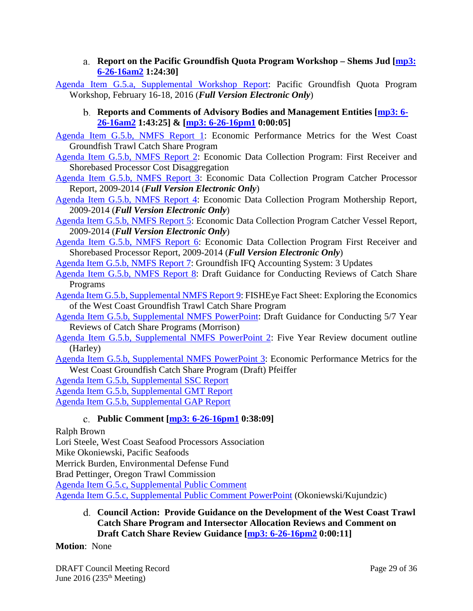**Report on the Pacific Groundfish Quota Program Workshop – Shems Jud [\[mp3:](ftp://ftp.pcouncil.org/pub/R1606_June_2016_Recordings/6-26-16am2Copy.mp3)  [6-26-16am2](ftp://ftp.pcouncil.org/pub/R1606_June_2016_Recordings/6-26-16am2Copy.mp3) 1:24:30]**

<span id="page-28-1"></span><span id="page-28-0"></span>[Agenda Item G.5.a, Supplemental Workshop Report:](http://www.pcouncil.org/wp-content/uploads/2016/06/G5a_Sup_QS_Wkshp_Rpt_FullElectricVer_JUN2016BB.pdf) Pacific Groundfish Quota Program Workshop, February 16-18, 2016 (*Full Version Electronic Only*)

**Reports and Comments of Advisory Bodies and Management Entities [\[mp3: 6-](ftp://ftp.pcouncil.org/pub/R1606_June_2016_Recordings/6-26-16am2Copy.mp3) [26-16am2](ftp://ftp.pcouncil.org/pub/R1606_June_2016_Recordings/6-26-16am2Copy.mp3) 1:43:25] & [\[mp3: 6-26-16pm1](ftp://ftp.pcouncil.org/pub/R1606_June_2016_Recordings/6-26-16pm1Copy.mp3) 0:00:05]**

[Agenda Item G.5.b, NMFS Report 1:](http://www.pcouncil.org/wp-content/uploads/2016/06/G5b_NMFS_Rpt1_EconPerf_JUN2016BB.pdf) Economic Performance Metrics for the West Coast Groundfish Trawl Catch Share Program

- [Agenda Item G.5.b, NMFS Report 2:](http://www.pcouncil.org/wp-content/uploads/2016/06/G5b_NMFS_Rpt2_CostDisagg_JUN2016BB.pdf) Economic Data Collection Program: First Receiver and Shorebased Processor Cost Disaggregation
- [Agenda Item G.5.b, NMFS Report 3:](http://www.pcouncil.org/wp-content/uploads/2016/06/G5b_NMFS_Rpt3_CP_ElecVer_JUN2016BB.pdf) Economic Data Collection Program Catcher Processor Report, 2009-2014 (*Full Version Electronic Only*)
- [Agenda Item G.5.b, NMFS Report 4:](http://www.pcouncil.org/wp-content/uploads/2016/06/G5b_NMFS_Rpt4_MS_ElecVer_JUN2016BB.pdf) Economic Data Collection Program Mothership Report, 2009-2014 (*Full Version Electronic Only*)
- [Agenda Item G.5.b, NMFS Report 5:](http://www.pcouncil.org/wp-content/uploads/2016/06/G5b_NMFS_Rpt5_CV_ElecVer_JUN2016BB.pdf) Economic Data Collection Program Catcher Vessel Report, 2009-2014 (*Full Version Electronic Only*)
- [Agenda Item G.5.b, NMFS Report 6:](http://www.pcouncil.org/wp-content/uploads/2016/06/G5b_NMFS_Rpt6_FR_ElecVer_JUN2016BB.pdf) Economic Data Collection Program First Receiver and Shorebased Processor Report, 2009-2014 (*Full Version Electronic Only*)
- [Agenda Item G.5.b, NMFS Report 7:](http://www.pcouncil.org/wp-content/uploads/2016/06/G5b_NMFS_Rpt7_SystemUpdatesIFQ_JUN2016BB.pdf) Groundfish IFQ Accounting System: 3 Updates
- [Agenda Item G.5.b, NMFS Report 8:](http://www.pcouncil.org/wp-content/uploads/2016/06/G5b_NMFS_Rpt8_DraftPolicy_JUN2016BB.pdf) Draft Guidance for Conducting Reviews of Catch Share Programs
- [Agenda Item G.5.b, Supplemental NMFS Report 9:](http://www.pcouncil.org/wp-content/uploads/2016/06/G5b_Sup_NMFS_Rpt9_FISHEyeFactSheet_JUN2016BB.pdf) FISHEye Fact Sheet: Exploring the Economics of the West Coast Groundfish Trawl Catch Share Program
- [Agenda Item G.5.b, Supplemental NMFS PowerPoint:](http://www.pcouncil.org/wp-content/uploads/2016/06/G5b_Sup_NMFS_PPT_Morrison_JUN2016BB.pdf) Draft Guidance for Conducting 5/7 Year Reviews of Catch Share Programs (Morrison)
- [Agenda Item G.5.b, Supplemental NMFS PowerPoint 2:](http://www.pcouncil.org/wp-content/uploads/2016/06/G5b_Sup_NMFS_PPT2_Harley_GF_5Year_Review_Outline_JUNE2016BB.pdf) Five Year Review document outline (Harley)
- [Agenda Item G.5.b, Supplemental NMFS PowerPoint 3:](http://www.pcouncil.org/wp-content/uploads/2016/06/G5b_Sup_NMFS_PPT3_Pfeiffer_Perfmetrics_JUNE2016BB.pdf) Economic Performance Metrics for the West Coast Groundfish Catch Share Program (Draft) Pfeiffer

[Agenda Item G.5.b, Supplemental SSC Report](http://www.pcouncil.org/wp-content/uploads/2016/06/G5b_Sup_SSC_Rpt_JUN2016BB.pdf)

[Agenda Item G.5.b, Supplemental GMT Report](http://www.pcouncil.org/wp-content/uploads/2016/06/G5b_Sup_GMT_Rpt_JUN2016BB.pdf)

<span id="page-28-2"></span>[Agenda Item G.5.b, Supplemental GAP Report](http://www.pcouncil.org/wp-content/uploads/2016/06/G5b_Sup_GAP_Rpt_JUN2016BB.pdf)

### **Public Comment [\[mp3: 6-26-16pm1](ftp://ftp.pcouncil.org/pub/R1606_June_2016_Recordings/6-26-16pm1Copy.mp3) 0:38:09]**

Ralph Brown

Lori Steele, West Coast Seafood Processors Association

Mike Okoniewski, Pacific Seafoods

Merrick Burden, Environmental Defense Fund

Brad Pettinger, Oregon Trawl Commission

[Agenda Item G.5.c, Supplemental Public Comment](http://www.pcouncil.org/wp-content/uploads/2016/06/G5c_Sup_PubCom_JUN2016BB.pdf)

<span id="page-28-3"></span>[Agenda Item G.5.c, Supplemental Public Comment PowerPoint](http://www.pcouncil.org/wp-content/uploads/2016/06/G5c_Sup_PC_PPT_Okoniewski_JUN2016BB.pdf) (Okoniewski/Kujundzic)

**Council Action: Provide Guidance on the Development of the West Coast Trawl Catch Share Program and Intersector Allocation Reviews and Comment on Draft Catch Share Review Guidance [\[mp3: 6-26-16pm2](ftp://ftp.pcouncil.org/pub/R1606_June_2016_Recordings/6-26-16pm2Copy.mp3) 0:00:11]**

### **Motion**: None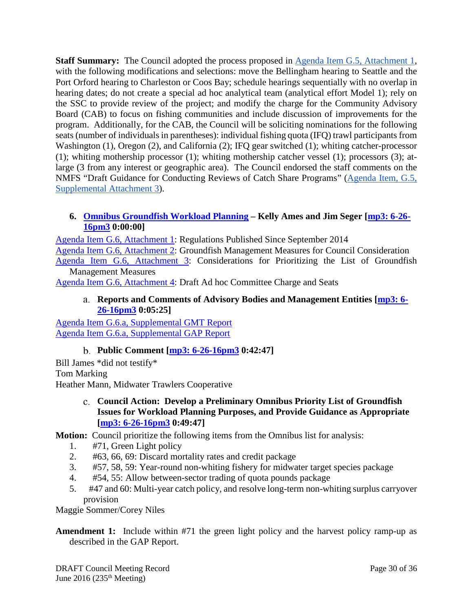**Staff Summary:** The Council adopted the process proposed in [Agenda Item G.5, Attachment 1,](http://www.pcouncil.org/wp-content/uploads/2016/06/G5_Att1_ReviewProcess_JUN2016BB.pdf) with the following modifications and selections: move the Bellingham hearing to Seattle and the Port Orford hearing to Charleston or Coos Bay; schedule hearings sequentially with no overlap in hearing dates; do not create a special ad hoc analytical team (analytical effort Model 1); rely on the SSC to provide review of the project; and modify the charge for the Community Advisory Board (CAB) to focus on fishing communities and include discussion of improvements for the program. Additionally, for the CAB, the Council will be soliciting nominations for the following seats (number of individuals in parentheses): individual fishing quota (IFQ) trawl participants from Washington (1), Oregon (2), and California (2); IFQ gear switched (1); whiting catcher-processor (1); whiting mothership processor (1); whiting mothership catcher vessel (1); processors (3); atlarge (3 from any interest or geographic area). The Council endorsed the staff comments on the NMFS "Draft Guidance for Conducting Reviews of Catch Share Programs" [\(Agenda Item, G.5,](http://www.pcouncil.org/wp-content/uploads/2016/06/G5_Sup_Att3_StaffRpt_ReviewGuidance_JUN2016BB.pdf)  [Supplemental Attachment 3\)](http://www.pcouncil.org/wp-content/uploads/2016/06/G5_Sup_Att3_StaffRpt_ReviewGuidance_JUN2016BB.pdf).

### <span id="page-29-0"></span>**6. [Omnibus Groundfish Workload Planning](http://www.pcouncil.org/wp-content/uploads/2016/06/G6__SitSum_Omnibus_JUN2016BB.pdf) – Kelly Ames and Jim Seger [\[mp3: 6-26-](ftp://ftp.pcouncil.org/pub/R1606_June_2016_Recordings/6-26-16pm3Copy.mp3) [16pm3](ftp://ftp.pcouncil.org/pub/R1606_June_2016_Recordings/6-26-16pm3Copy.mp3) 0:00:00]**

[Agenda Item G.6, Attachment 1:](http://www.pcouncil.org/wp-content/uploads/2016/06/G6_Att1_Accomplishments_JUN2016BB.pdf) Regulations Published Since September 2014 [Agenda Item G.6, Attachment 2:](http://www.pcouncil.org/wp-content/uploads/2016/06/G6_Att2_List_MM_for_Consideration_Final_JUN2016BB.pdf) Groundfish Management Measures for Council Consideration [Agenda Item G.6, Attachment 3:](http://www.pcouncil.org/wp-content/uploads/2016/06/G6_Att3_Considerations_PrioritizeList_JUN2016BB.pdf) Considerations for Prioritizing the List of Groundfish Management Measures

<span id="page-29-1"></span>[Agenda Item G.6, Attachment 4:](http://www.pcouncil.org/wp-content/uploads/2016/06/G6_Att4_Draft_Ad_Hoc_Committee_Seats_JUN2016BB.pdf) Draft Ad hoc Committee Charge and Seats

#### **Reports and Comments of Advisory Bodies and Management Entities [\[mp3: 6-](ftp://ftp.pcouncil.org/pub/R1606_June_2016_Recordings/6-26-16pm3Copy.mp3) [26-16pm3](ftp://ftp.pcouncil.org/pub/R1606_June_2016_Recordings/6-26-16pm3Copy.mp3) 0:05:25]**

[Agenda Item G.6.a, Supplemental GMT Report](http://www.pcouncil.org/wp-content/uploads/2016/06/G6a_Sup_GMT_Rpt_Omnibus_JUN2016BB.pdf) [Agenda Item G.6.a, Supplemental GAP Report](http://www.pcouncil.org/wp-content/uploads/2016/06/G6a_Sup_GAP_Rpt_Omnibus_JUN2016BB.pdf)

# **Public Comment [\[mp3: 6-26-16pm3](ftp://ftp.pcouncil.org/pub/R1606_June_2016_Recordings/6-26-16pm3Copy.mp3) 0:42:47]**

<span id="page-29-2"></span>Bill James \*did not testify\* Tom Marking Heather Mann, Midwater Trawlers Cooperative

> <span id="page-29-3"></span>**Council Action: Develop a Preliminary Omnibus Priority List of Groundfish Issues for Workload Planning Purposes, and Provide Guidance as Appropriate [\[mp3: 6-26-16pm3](ftp://ftp.pcouncil.org/pub/R1606_June_2016_Recordings/6-26-16pm3Copy.mp3) 0:49:47]**

# **Motion:** Council prioritize the following items from the Omnibus list for analysis:

- 1. #71, Green Light policy
- 2. #63, 66, 69: Discard mortality rates and credit package
- 3. #57, 58, 59: Year-round non-whiting fishery for midwater target species package
- 4. #54, 55: Allow between-sector trading of quota pounds package
- 5. #47 and 60: Multi-year catch policy, and resolve long-term non-whiting surplus carryover provision

Maggie Sommer/Corey Niles

**Amendment 1:** Include within #71 the green light policy and the harvest policy ramp-up as described in the GAP Report.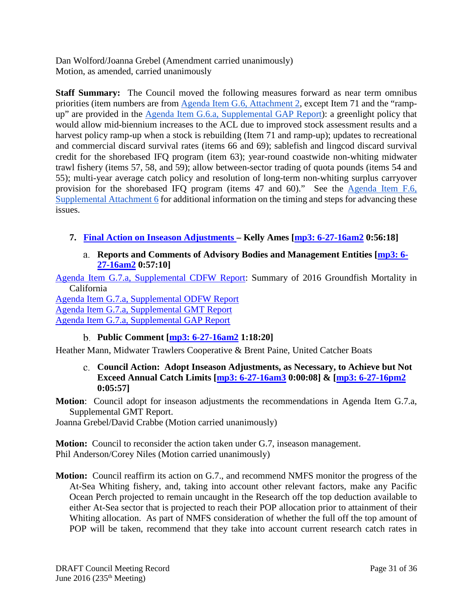Dan Wolford/Joanna Grebel (Amendment carried unanimously) Motion, as amended, carried unanimously

**Staff Summary:** The Council moved the following measures forward as near term omnibus priorities (item numbers are from [Agenda Item G.6, Attachment 2,](http://www.pcouncil.org/wp-content/uploads/2016/06/G6_Att2_List_MM_for_Consideration_Final_JUN2016BB.pdf) except Item 71 and the "ramp-up" are provided in the [Agenda Item G.6.a, Supplemental GAP Report\)](http://www.pcouncil.org/wp-content/uploads/2016/06/G6a_Sup_GAP_Rpt_Omnibus_JUN2016BB.pdf): a greenlight policy that would allow mid-biennium increases to the ACL due to improved stock assessment results and a harvest policy ramp-up when a stock is rebuilding (Item 71 and ramp-up); updates to recreational and commercial discard survival rates (items 66 and 69); sablefish and lingcod discard survival credit for the shorebased IFQ program (item 63); year-round coastwide non-whiting midwater trawl fishery (items 57, 58, and 59); allow between-sector trading of quota pounds (items 54 and 55); multi-year average catch policy and resolution of long-term non-whiting surplus carryover provision for the shorebased IFQ program (items 47 and 60)." See the [Agenda Item F.6,](http://www.pcouncil.org/wp-content/uploads/2016/06/F6_Sup_Att6_Joint_NMFS_PFMC_Staff_Response_JUN2016BB.pdf)  [Supplemental Attachment 6](http://www.pcouncil.org/wp-content/uploads/2016/06/F6_Sup_Att6_Joint_NMFS_PFMC_Staff_Response_JUN2016BB.pdf) for additional information on the timing and steps for advancing these issues.

- <span id="page-30-1"></span><span id="page-30-0"></span>**7. [Final Action on Inseason Adjustments –](http://www.pcouncil.org/wp-content/uploads/2016/06/G7__SitSum_Inseason_JUN2016BB.pdf) Kelly Ames [\[mp3: 6-27-16am2](ftp://ftp.pcouncil.org/pub/R1606_June_2016_Recordings/6-27-16am2Copy.mp3) 0:56:18]**
	- **Reports and Comments of Advisory Bodies and Management Entities [\[mp3: 6-](ftp://ftp.pcouncil.org/pub/R1606_June_2016_Recordings/6-27-16am2Copy.mp3) [27-16am2](ftp://ftp.pcouncil.org/pub/R1606_June_2016_Recordings/6-27-16am2Copy.mp3) 0:57:10]**

[Agenda Item G.7.a, Supplemental CDFW Report:](http://www.pcouncil.org/wp-content/uploads/2016/06/G7a_Sup_CDFW_Rpt_JUN2016BB.pdf) Summary of 2016 Groundfish Mortality in California

[Agenda Item G.7.a, Supplemental ODFW Report](http://www.pcouncil.org/wp-content/uploads/2016/06/G7a_Sup_ODFW_Rpt_JUN2016BB.pdf) [Agenda Item G.7.a, Supplemental GMT Report](http://www.pcouncil.org/wp-content/uploads/2016/06/G7a_Sup_GMT_Rpt_JUN2016BB.pdf) [Agenda Item G.7.a, Supplemental GAP Report](http://www.pcouncil.org/wp-content/uploads/2016/06/G7a_Sup_GAP_Rpt_JUN2016BB.pdf)

# **Public Comment [\[mp3: 6-27-16am2](ftp://ftp.pcouncil.org/pub/R1606_June_2016_Recordings/6-27-16am2Copy.mp3) 1:18:20]**

<span id="page-30-3"></span><span id="page-30-2"></span>Heather Mann, Midwater Trawlers Cooperative & Brent Paine, United Catcher Boats

**Council Action: Adopt Inseason Adjustments, as Necessary, to Achieve but Not Exceed Annual Catch Limits [\[mp3: 6-27-16am3](ftp://ftp.pcouncil.org/pub/R1606_June_2016_Recordings/6-27-16am3Copy.mp3) 0:00:08] & [\[mp3: 6-27-16pm2](ftp://ftp.pcouncil.org/pub/R1606_June_2016_Recordings/6-27-16pm2Copy.mp3) 0:05:57]**

**Motion**: Council adopt for inseason adjustments the recommendations in Agenda Item G.7.a, Supplemental GMT Report.

Joanna Grebel/David Crabbe (Motion carried unanimously)

**Motion:** Council to reconsider the action taken under G.7, inseason management. Phil Anderson/Corey Niles (Motion carried unanimously)

**Motion:** Council reaffirm its action on G.7., and recommend NMFS monitor the progress of the At-Sea Whiting fishery, and, taking into account other relevant factors, make any Pacific Ocean Perch projected to remain uncaught in the Research off the top deduction available to either At-Sea sector that is projected to reach their POP allocation prior to attainment of their Whiting allocation. As part of NMFS consideration of whether the full off the top amount of POP will be taken, recommend that they take into account current research catch rates in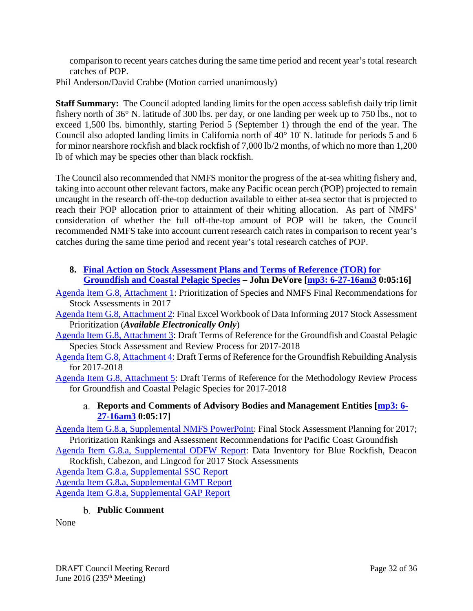comparison to recent years catches during the same time period and recent year's total research catches of POP.

Phil Anderson/David Crabbe (Motion carried unanimously)

**Staff Summary:** The Council adopted landing limits for the open access sablefish daily trip limit fishery north of 36° N. latitude of 300 lbs. per day, or one landing per week up to 750 lbs., not to exceed 1,500 lbs. bimonthly, starting Period 5 (September 1) through the end of the year. The Council also adopted landing limits in California north of 40° 10' N. latitude for periods 5 and 6 for minor nearshore rockfish and black rockfish of 7,000 lb/2 months, of which no more than 1,200 lb of which may be species other than black rockfish.

The Council also recommended that NMFS monitor the progress of the at-sea whiting fishery and, taking into account other relevant factors, make any Pacific ocean perch (POP) projected to remain uncaught in the research off-the-top deduction available to either at-sea sector that is projected to reach their POP allocation prior to attainment of their whiting allocation. As part of NMFS' consideration of whether the full off-the-top amount of POP will be taken, the Council recommended NMFS take into account current research catch rates in comparison to recent year's catches during the same time period and recent year's total research catches of POP.

### <span id="page-31-0"></span>**8. [Final Action on Stock Assessment Plans and Terms of Reference \(TOR\) for](http://www.pcouncil.org/wp-content/uploads/2016/06/G8__SitSum_AssessmentPlanning_JUN2016BB.pdf)  Groundfish [and Coastal Pelagic Species](http://www.pcouncil.org/wp-content/uploads/2016/06/G8__SitSum_AssessmentPlanning_JUN2016BB.pdf) – John DeVore [\[mp3: 6-27-16am3](ftp://ftp.pcouncil.org/pub/R1606_June_2016_Recordings/6-27-16am3Copy.mp3) 0:05:16]**

[Agenda Item G.8, Attachment 1:](http://www.pcouncil.org/wp-content/uploads/2016/06/G8_Att1_AssessmentPriorities_JUN2016BB.pdf) Prioritization of Species and NMFS Final Recommendations for Stock Assessments in 2017

- [Agenda Item G.8, Attachment 2:](http://www.pcouncil.org/wp-content/uploads/2016/06/G8_Att2_Data_Informing2017StockAssessment_Prioritization_ElectronicOnly_JUN2016BB.xlsx) Final Excel Workbook of Data Informing 2017 Stock Assessment Prioritization (*Available Electronically Only*)
- [Agenda Item G.8, Attachment 3:](http://www.pcouncil.org/wp-content/uploads/2016/06/G8_Att3_Stock_Assessment_ToR_Revisions_JUN2016BB.pdf) Draft Terms of Reference for the Groundfish and Coastal Pelagic Species Stock Assessment and Review Process for 2017-2018
- [Agenda Item G.8, Attachment 4:](http://www.pcouncil.org/wp-content/uploads/2016/06/G8_Att4_GF_Rebuild_ToR_Revisions_JUN2016BB.pdf) Draft Terms of Reference for the Groundfish Rebuilding Analysis for 2017-2018
- <span id="page-31-1"></span>[Agenda Item G.8, Attachment 5:](http://www.pcouncil.org/wp-content/uploads/2016/06/G8_Att5_Methodology_ToR_-Revisions-jointCPSGF_JUN2016BB.pdf) Draft Terms of Reference for the Methodology Review Process for Groundfish and Coastal Pelagic Species for 2017-2018

# **Reports and Comments of Advisory Bodies and Management Entities [\[mp3: 6-](ftp://ftp.pcouncil.org/pub/R1606_June_2016_Recordings/6-27-16am3Copy.mp3) [27-16am3](ftp://ftp.pcouncil.org/pub/R1606_June_2016_Recordings/6-27-16am3Copy.mp3) 0:05:17]**

[Agenda Item G.8.a, Supplemental NMFS PowerPoint:](http://www.pcouncil.org/wp-content/uploads/2016/06/G8a_Sup_NMFS_PPT_Hastie_JUNE2016BB.pdf) Final Stock Assessment Planning for 2017; Prioritization Rankings and Assessment Recommendations for Pacific Coast Groundfish

[Agenda Item G.8.a, Supplemental ODFW Report:](http://www.pcouncil.org/wp-content/uploads/2016/06/G8a_Sup_ODFW_Rpt_SA_data_available_JUN2016BB.pdf) Data Inventory for Blue Rockfish, Deacon Rockfish, Cabezon, and Lingcod for 2017 Stock Assessments

[Agenda Item G.8.a, Supplemental SSC Report](http://www.pcouncil.org/wp-content/uploads/2016/06/G8a_Sup_SSC_Rpt_JUN2016BB.pdf)

[Agenda Item G.8.a, Supplemental GMT Report](http://www.pcouncil.org/wp-content/uploads/2016/06/G8a_Sup_GMT_Rpt_JUN2016BB.pdf) [Agenda Item G.8.a, Supplemental GAP Report](http://www.pcouncil.org/wp-content/uploads/2016/06/G8a_Sup_GAP_Rpt_JUN2016BB.pdf)

### **Public Comment**

<span id="page-31-2"></span>None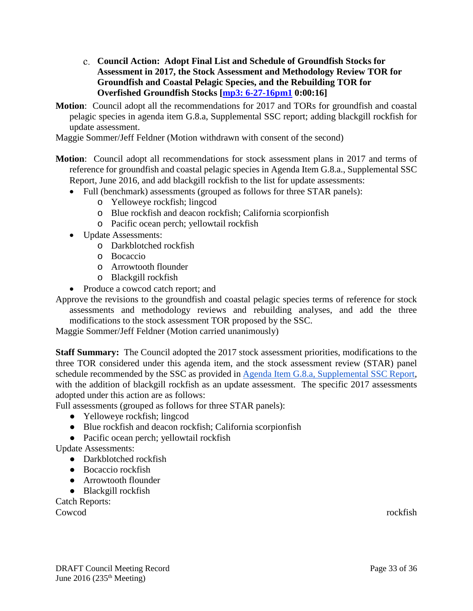- <span id="page-32-0"></span>**Council Action: Adopt Final List and Schedule of Groundfish Stocks for Assessment in 2017, the Stock Assessment and Methodology Review TOR for Groundfish and Coastal Pelagic Species, and the Rebuilding TOR for Overfished Groundfish Stocks [\[mp3: 6-27-16pm1](ftp://ftp.pcouncil.org/pub/R1606_June_2016_Recordings/6-27-16pm1Copy.mp3) 0:00:16]**
- **Motion**: Council adopt all the recommendations for 2017 and TORs for groundfish and coastal pelagic species in agenda item G.8.a, Supplemental SSC report; adding blackgill rockfish for update assessment.

Maggie Sommer/Jeff Feldner (Motion withdrawn with consent of the second)

- **Motion**: Council adopt all recommendations for stock assessment plans in 2017 and terms of reference for groundfish and coastal pelagic species in Agenda Item G.8.a., Supplemental SSC Report, June 2016, and add blackgill rockfish to the list for update assessments:
	- Full (benchmark) assessments (grouped as follows for three STAR panels):
		- o Yelloweye rockfish; lingcod
		- o Blue rockfish and deacon rockfish; California scorpionfish
		- o Pacific ocean perch; yellowtail rockfish
	- Update Assessments:
		- o Darkblotched rockfish
		- o Bocaccio
		- o Arrowtooth flounder
		- o Blackgill rockfish
	- Produce a cowcod catch report; and

Approve the revisions to the groundfish and coastal pelagic species terms of reference for stock assessments and methodology reviews and rebuilding analyses, and add the three modifications to the stock assessment TOR proposed by the SSC.

Maggie Sommer/Jeff Feldner (Motion carried unanimously)

**Staff Summary:** The Council adopted the 2017 stock assessment priorities, modifications to the three TOR considered under this agenda item, and the stock assessment review (STAR) panel schedule recommended by the SSC as provided in [Agenda Item G.8.a, Supplemental SSC Report,](http://www.pcouncil.org/wp-content/uploads/2016/06/G8a_Sup_SSC_Rpt_JUN2016BB.pdf) with the addition of blackgill rockfish as an update assessment. The specific 2017 assessments adopted under this action are as follows:

- Full assessments (grouped as follows for three STAR panels):
	- Yelloweye rockfish; lingcod
	- Blue rockfish and deacon rockfish; California scorpionfish
	- Pacific ocean perch; yellowtail rockfish

Update Assessments:

- Darkblotched rockfish
- Bocaccio rockfish
- Arrowtooth flounder
- Blackgill rockfish

Catch Reports:

Cowcod rockfish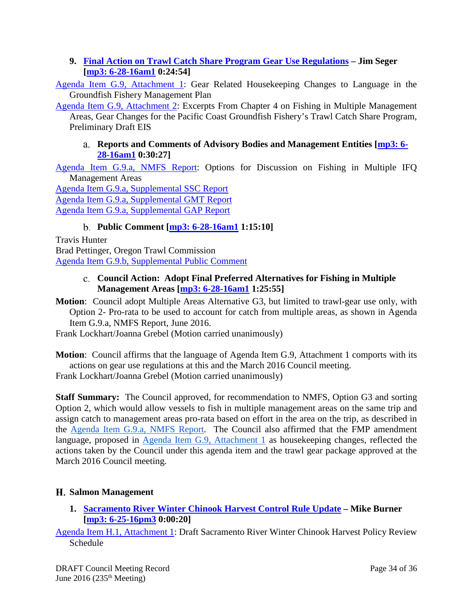### <span id="page-33-0"></span>**9. [Final Action on Trawl Catch Share Program Gear Use Regulations](http://www.pcouncil.org/wp-content/uploads/2016/06/G9__SitSum_TrawlCatchShare_GearRegs_JUN2016BB.pdf) – Jim Seger [\[mp3: 6-28-16am1](ftp://ftp.pcouncil.org/pub/R1606_June_2016_Recordings/6-28-16am1Copy.mp3) 0:24:54]**

[Agenda Item G.9,](http://www.pcouncil.org/wp-content/uploads/2016/06/G9_Att1_FMP_Language_JUN2016BB.pdf) Attachment 1: Gear Related Housekeeping Changes to Language in the Groundfish Fishery Management Plan

[Agenda Item G.9, Attachment 2:](http://www.pcouncil.org/wp-content/uploads/2016/06/G9_Att2_Excerpt_Ch4.7_PreliminaryGF_Gear_DEIS_JUN2016BB.pdf) Excerpts From Chapter 4 on Fishing in Multiple Management Areas, Gear Changes for the Pacific Coast Groundfish Fishery's Trawl Catch Share Program, Preliminary Draft EIS

#### <span id="page-33-1"></span>**Reports and Comments of Advisory Bodies and Management Entities [\[mp3: 6-](ftp://ftp.pcouncil.org/pub/R1606_June_2016_Recordings/6-28-16am1Copy.mp3) [28-16am1](ftp://ftp.pcouncil.org/pub/R1606_June_2016_Recordings/6-28-16am1Copy.mp3) 0:30:27]**

[Agenda Item G.9.a, NMFS Report:](http://www.pcouncil.org/wp-content/uploads/2016/06/G9a_NMFS_Rpt_OptionsForDiscussion_JUN2016BB.pdf) Options for Discussion on Fishing in Multiple IFQ Management Areas

[Agenda Item G.9.a, Supplemental SSC Report](http://www.pcouncil.org/wp-content/uploads/2016/06/G9a_Sup_SSC_Rpt_JUN2016BB.pdf) [Agenda Item G.9.a, Supplemental GMT Report](http://www.pcouncil.org/wp-content/uploads/2016/06/G9a_Sup_GMT_Rpt_JUN2016BB.pdf) [Agenda Item G.9.a, Supplemental GAP Report](http://www.pcouncil.org/wp-content/uploads/2016/06/G9a_Sup_GAP_Rpt_JUN2016BB.pdf)

# **Public Comment [\[mp3: 6-28-16am1](ftp://ftp.pcouncil.org/pub/R1606_June_2016_Recordings/6-28-16am1Copy.mp3) 1:15:10]**

<span id="page-33-2"></span>Travis Hunter Brad Pettinger, Oregon Trawl Commission [Agenda Item G.9.b, Supplemental Public Comment](http://www.pcouncil.org/wp-content/uploads/2016/06/G9b_Sup_PubCom_JUN2016BB.pdf)

### <span id="page-33-3"></span>**Council Action: Adopt Final Preferred Alternatives for Fishing in Multiple Management Areas [\[mp3: 6-28-16am1](ftp://ftp.pcouncil.org/pub/R1606_June_2016_Recordings/6-28-16am1Copy.mp3) 1:25:55]**

**Motion**: Council adopt Multiple Areas Alternative G3, but limited to trawl-gear use only, with Option 2- Pro-rata to be used to account for catch from multiple areas, as shown in Agenda Item G.9.a, NMFS Report, June 2016.

Frank Lockhart/Joanna Grebel (Motion carried unanimously)

**Motion**: Council affirms that the language of Agenda Item G.9, Attachment 1 comports with its actions on gear use regulations at this and the March 2016 Council meeting.

Frank Lockhart/Joanna Grebel (Motion carried unanimously)

**Staff Summary:** The Council approved, for recommendation to NMFS, Option G3 and sorting Option 2, which would allow vessels to fish in multiple management areas on the same trip and assign catch to management areas pro-rata based on effort in the area on the trip, as described in the [Agenda Item G.9.a, NMFS Report.](http://www.pcouncil.org/wp-content/uploads/2016/06/G9a_NMFS_Rpt_OptionsForDiscussion_JUN2016BB.pdf) The Council also affirmed that the FMP amendment language, proposed in [Agenda Item G.9, Attachment 1](http://www.pcouncil.org/wp-content/uploads/2016/06/G9_Att1_FMP_Language_JUN2016BB.pdf) as housekeeping changes, reflected the actions taken by the Council under this agenda item and the trawl gear package approved at the March 2016 Council meeting.

# <span id="page-33-4"></span>**Salmon Management**

<span id="page-33-5"></span>**1. [Sacramento River Winter Chinook Harvest Control Rule Update](http://www.pcouncil.org/wp-content/uploads/2016/06/H1__SitSum_SRWC_JUN2016BB.pdf) – Mike Burner [\[mp3: 6-25-16pm3](ftp://ftp.pcouncil.org/pub/R1606_June_2016_Recordings/6-25-16pm3Copy.mp3) 0:00:20]**

[Agenda Item H.1, Attachment 1:](http://www.pcouncil.org/wp-content/uploads/2016/06/H1_Att1_SRWCdraftSched_JUN2016BB.pdf) Draft Sacramento River Winter Chinook Harvest Policy Review Schedule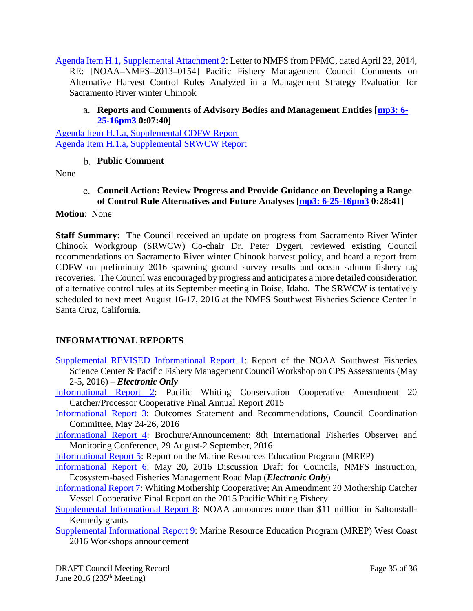[Agenda Item H.1, Supplemental Attachment 2:](http://www.pcouncil.org/wp-content/uploads/2016/06/H1_Sup_Att2_PFMC_Ltr_NMFS_SRWC_Control_Rule_0414_JUN2016BB.pdf) Letter to NMFS from PFMC, dated April 23, 2014, RE: [NOAA–NMFS–2013–0154] Pacific Fishery Management Council Comments on Alternative Harvest Control Rules Analyzed in a Management Strategy Evaluation for Sacramento River winter Chinook

#### <span id="page-34-0"></span>**Reports and Comments of Advisory Bodies and Management Entities [\[mp3: 6-](ftp://ftp.pcouncil.org/pub/R1606_June_2016_Recordings/6-25-16pm3Copy.mp3) [25-16pm3](ftp://ftp.pcouncil.org/pub/R1606_June_2016_Recordings/6-25-16pm3Copy.mp3) 0:07:40]**

<span id="page-34-1"></span>[Agenda Item H.1.a, Supplemental CDFW Report](http://www.pcouncil.org/wp-content/uploads/2016/06/H1a_Sup_CDFW_Rpt_SRWC_JUN2016BB.pdf) [Agenda Item H.1.a, Supplemental SRWCW Report](http://www.pcouncil.org/wp-content/uploads/2016/06/H1a_Sup_SRWCW_Rpt_JUN2016BB.pdf)

### **Public Comment**

<span id="page-34-2"></span>None

**Council Action: Review Progress and Provide Guidance on Developing a Range of Control Rule Alternatives and Future Analyses [\[mp3: 6-25-16pm3](ftp://ftp.pcouncil.org/pub/R1606_June_2016_Recordings/6-25-16pm3Copy.mp3) 0:28:41]**

#### **Motion**: None

**Staff Summary**: The Council received an update on progress from Sacramento River Winter Chinook Workgroup (SRWCW) Co-chair Dr. Peter Dygert, reviewed existing Council recommendations on Sacramento River winter Chinook harvest policy, and heard a report from CDFW on preliminary 2016 spawning ground survey results and ocean salmon fishery tag recoveries. The Council was encouraged by progress and anticipates a more detailed consideration of alternative control rules at its September meeting in Boise, Idaho. The SRWCW is tentatively scheduled to next meet August 16-17, 2016 at the NMFS Southwest Fisheries Science Center in Santa Cruz, California.

### <span id="page-34-3"></span>**INFORMATIONAL REPORTS**

- [Supplemental REVISED Informational Report 1:](http://www.pcouncil.org/wp-content/uploads/2016/06/IR1_SUP_REVISED_CPS_DataPoorMethods_WorkshopRpt_ElectricOnly_JUN2016BB.pdf) Report of the NOAA Southwest Fisheries Science Center & Pacific Fishery Management Council Workshop on CPS Assessments (May 2-5, 2016) – *Electronic Only*
- [Informational Report 2:](http://www.pcouncil.org/wp-content/uploads/2016/06/IR2_CoopRep_CP_2015_PWCC_JUN2016BB.pdf) Pacific Whiting Conservation Cooperative Amendment 20 Catcher/Processor Cooperative Final Annual Report 2015
- [Informational Report 3:](http://www.pcouncil.org/wp-content/uploads/2016/06/IR3_CCCresolution_NatMon_JUN2016BB.pdf) Outcomes Statement and Recommendations, Council Coordination Committee, May 24-26, 2016
- [Informational Report 4:](http://www.pcouncil.org/wp-content/uploads/2016/06/IR4_ObsConf_JUN2016BB.pdf) Brochure/Announcement: 8th International Fisheries Observer and Monitoring Conference, 29 August-2 September, 2016

[Informational Report 5:](http://www.pcouncil.org/wp-content/uploads/2016/06/IR5_MREP_Info_Rpt_JUN2016BB.pdf) Report on the Marine Resources Education Program (MREP)

- [Informational Report 6:](http://www.pcouncil.org/wp-content/uploads/2016/06/IR6_EBFMroadmap_ElectronicOnly_JUN2016BB.pdf) May 20, 2016 Discussion Draft for Councils, NMFS Instruction, Ecosystem-based Fisheries Management Road Map (*Electronic Only*)
- [Informational Report 7:](http://www.pcouncil.org/wp-content/uploads/2016/06/IR7_CoopRep_MS_2015_WMC_JUN2016BB.pdf) Whiting Mothership Cooperative; An Amendment 20 Mothership Catcher Vessel Cooperative Final Report on the 2015 Pacific Whiting Fishery
- [Supplemental Informational Report 8:](http://www.pcouncil.org/wp-content/uploads/2016/06/IR8_SUP_SKprojects_JUN2016BB.pdf) NOAA announces more than \$11 million in Saltonstall-Kennedy grants
- [Supplemental Informational Report 9:](http://www.pcouncil.org/wp-content/uploads/2016/06/IR9_SUP_MREP_Workshops_JUN2016BB.pdf) Marine Resource Education Program (MREP) West Coast 2016 Workshops announcement